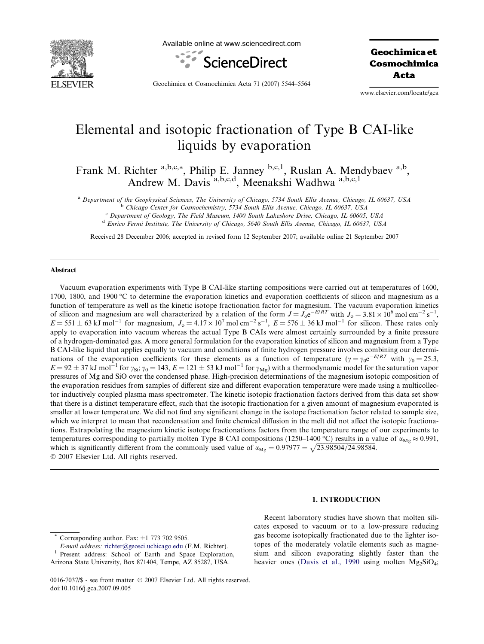

Available online at www.sciencedirect.com



Geochimica et Cosmochimica Acta

Geochimica et Cosmochimica Acta 71 (2007) 5544–5564

www.elsevier.com/locate/gca

# Elemental and isotopic fractionation of Type B CAI-like liquids by evaporation

Frank M. Richter <sup>a,b,c,\*</sup>, Philip E. Janney <sup>b,c,1</sup>, Ruslan A. Mendybaev <sup>a,b</sup>, Andrew M. Davis<sup>a,b,c,d</sup>, Meenakshi Wadhwa a,b,c,1

<sup>a</sup> Department of the Geophysical Sciences, The University of Chicago, 5734 South Ellis Avenue, Chicago, IL 60637, USA

<sup>b</sup> Chicago Center for Cosmochemistry, 5734 South Ellis Avenue, Chicago, IL 60637, USA

<sup>c</sup> Department of Geology, The Field Museum, 1400 South Lakeshore Drive, Chicago, IL 60605, USA

<sup>d</sup> Enrico Fermi Institute, The University of Chicago, 5640 South Ellis Avenue, Chicago, IL 60637, USA

Received 28 December 2006; accepted in revised form 12 September 2007; available online 21 September 2007

# Abstract

Vacuum evaporation experiments with Type B CAI-like starting compositions were carried out at temperatures of 1600, 1700, 1800, and 1900 °C to determine the evaporation kinetics and evaporation coefficients of silicon and magnesium as a function of temperature as well as the kinetic isotope fractionation factor for magnesium. The vacuum evaporation kinetics of silicon and magnesium are well characterized by a relation of the form  $J = J_0 e^{-E/RT}$  with  $J_0 = 3.81 \times 10^6$  mol cm<sup>-2</sup> s<sup>-1</sup>,  $E = 551 \pm 63$  kJ mol<sup>-1</sup> for magnesium,  $J_0 = 4.17 \times 10^7$  mol cm<sup>-2</sup> s<sup>-1</sup>,  $E = 576 \pm 36$  kJ mol<sup>-1</sup> for silicon. These rates only apply to evaporation into vacuum whereas the actual Type B CAIs were almost certainly surrounded by a finite pressure of a hydrogen-dominated gas. A more general formulation for the evaporation kinetics of silicon and magnesium from a Type B CAI-like liquid that applies equally to vacuum and conditions of finite hydrogen pressure involves combining our determinations of the evaporation coefficients for these elements as a function of temperature ( $\gamma = \gamma_0 e^{-E/RT}$  with  $\gamma_0 = 25.3$ ,  $E = 92 \pm 37$  kJ mol<sup>-1</sup> for  $\gamma_{Si}$ ;  $\gamma_0 = 143$ ,  $E = 121 \pm 53$  kJ mol<sup>-1</sup> for  $\gamma_{Mg}$ ) with a thermodynamic model for the saturation vapor pressures of Mg and SiO over the condensed phase. High-precision determinations of the magnesium isotopic composition of the evaporation residues from samples of different size and different evaporation temperature were made using a multicollector inductively coupled plasma mass spectrometer. The kinetic isotopic fractionation factors derived from this data set show that there is a distinct temperature effect, such that the isotopic fractionation for a given amount of magnesium evaporated is smaller at lower temperature. We did not find any significant change in the isotope fractionation factor related to sample size, which we interpret to mean that recondensation and finite chemical diffusion in the melt did not affect the isotopic fractionations. Extrapolating the magnesium kinetic isotope fractionations factors from the temperature range of our experiments to temperatures corresponding to partially molten Type B CAI compositions (1250–1400 °C) results in a value of  $\alpha_{Mg} \approx 0.991$ , which is significantly different from the commonly used value of  $\alpha_{Mg} = 0.97977 = \sqrt{23.98504/24.98584}$ . 2007 Elsevier Ltd. All rights reserved.

#### 1. INTRODUCTION

Recent laboratory studies have shown that molten silicates exposed to vacuum or to a low-pressure reducing gas become isotopically fractionated due to the lighter isotopes of the moderately volatile elements such as magnesium and silicon evaporating slightly faster than the heavier ones ([Davis et al., 1990](#page-19-0) using molten Mg<sub>2</sub>SiO<sub>4</sub>;

Corresponding author. Fax:  $+1$  773 702 9505.

E-mail address: [richter@geosci.uchicago.edu](mailto:richter@geosci.uchicago.edu) (F.M. Richter).<br>Present address: School of Earth and Space Exploration, Arizona State University, Box 871404, Tempe, AZ 85287, USA.

<sup>0016-7037/\$ -</sup> see front matter © 2007 Elsevier Ltd. All rights reserved. doi:10.1016/j.gca.2007.09.005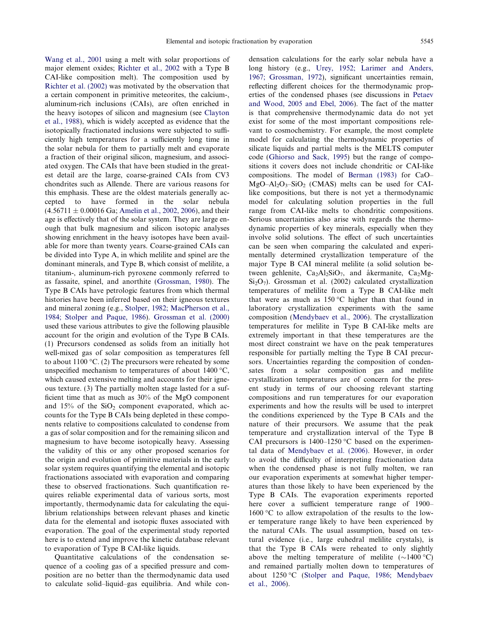[Wang et al., 2001](#page-20-0) using a melt with solar proportions of major element oxides; [Richter et al., 2002](#page-19-0) with a Type B CAI-like composition melt). The composition used by [Richter et al. \(2002\)](#page-19-0) was motivated by the observation that a certain component in primitive meteorites, the calcium-, aluminum-rich inclusions (CAIs), are often enriched in the heavy isotopes of silicon and magnesium (see [Clayton](#page-19-0) [et al., 1988](#page-19-0)), which is widely accepted as evidence that the isotopically fractionated inclusions were subjected to sufficiently high temperatures for a sufficiently long time in the solar nebula for them to partially melt and evaporate a fraction of their original silicon, magnesium, and associated oxygen. The CAIs that have been studied in the greatest detail are the large, coarse-grained CAIs from CV3 chondrites such as Allende. There are various reasons for this emphasis. These are the oldest materials generally accepted to have formed in the solar nebula  $(4.56711 \pm 0.00016 \text{ Ga}$ ; [Amelin et al., 2002, 2006\)](#page-19-0), and their age is effectively that of the solar system. They are large enough that bulk magnesium and silicon isotopic analyses showing enrichment in the heavy isotopes have been available for more than twenty years. Coarse-grained CAIs can be divided into Type A, in which melilite and spinel are the dominant minerals, and Type B, which consist of melilite, a titanium-, aluminum-rich pyroxene commonly referred to as fassaite, spinel, and anorthite [\(Grossman, 1980\)](#page-19-0). The Type B CAIs have petrologic features from which thermal histories have been inferred based on their igneous textures and mineral zoning (e.g., [Stolper, 1982; MacPherson et al.,](#page-19-0) [1984; Stolper and Paque, 1986\)](#page-19-0). [Grossman et al. \(2000\)](#page-19-0) used these various attributes to give the following plausible account for the origin and evolution of the Type B CAIs. (1) Precursors condensed as solids from an initially hot well-mixed gas of solar composition as temperatures fell to about  $1100\,^{\circ}\textrm{C}$ . (2) The precursors were reheated by some unspecified mechanism to temperatures of about  $1400^{\circ}$ C, which caused extensive melting and accounts for their igneous texture. (3) The partially molten stage lasted for a sufficient time that as much as 30% of the MgO component and  $15\%$  of the  $SiO<sub>2</sub>$  component evaporated, which accounts for the Type B CAIs being depleted in these components relative to compositions calculated to condense from a gas of solar composition and for the remaining silicon and magnesium to have become isotopically heavy. Assessing the validity of this or any other proposed scenarios for the origin and evolution of primitive materials in the early solar system requires quantifying the elemental and isotopic fractionations associated with evaporation and comparing these to observed fractionations. Such quantification requires reliable experimental data of various sorts, most importantly, thermodynamic data for calculating the equilibrium relationships between relevant phases and kinetic data for the elemental and isotopic fluxes associated with evaporation. The goal of the experimental study reported here is to extend and improve the kinetic database relevant to evaporation of Type B CAI-like liquids.

Quantitative calculations of the condensation sequence of a cooling gas of a specified pressure and composition are no better than the thermodynamic data used to calculate solid–liquid–gas equilibria. And while con-

densation calculations for the early solar nebula have a long history (e.g., [Urey, 1952; Larimer and Anders,](#page-19-0) [1967; Grossman, 1972](#page-19-0)), significant uncertainties remain, reflecting different choices for the thermodynamic properties of the condensed phases (see discussions in [Petaev](#page-19-0) [and Wood, 2005 and Ebel, 2006](#page-19-0)). The fact of the matter is that comprehensive thermodynamic data do not yet exist for some of the most important compositions relevant to cosmochemistry. For example, the most complete model for calculating the thermodynamic properties of silicate liquids and partial melts is the MELTS computer code [\(Ghiorso and Sack, 1995\)](#page-19-0) but the range of compositions it covers does not include chondritic or CAI-like compositions. The model of [Berman \(1983\)](#page-19-0) for CaO–  $MgO-Al_2O_3-SiO_2$  (CMAS) melts can be used for CAIlike compositions, but there is not yet a thermodynamic model for calculating solution properties in the full range from CAI-like melts to chondritic compositions. Serious uncertainties also arise with regards the thermodynamic properties of key minerals, especially when they involve solid solutions. The effect of such uncertainties can be seen when comparing the calculated and experimentally determined crystallization temperature of the major Type B CAI mineral melilite (a solid solution between gehlenite,  $Ca<sub>2</sub>Al<sub>2</sub>SiO<sub>7</sub>$ , and åkermanite,  $Ca<sub>2</sub>Mg Si<sub>2</sub>O<sub>7</sub>$ ). Grossman et al. (2002) calculated crystallization temperatures of melilite from a Type B CAI-like melt that were as much as  $150^{\circ}$ C higher than that found in laboratory crystallization experiments with the same composition [\(Mendybaev et al., 2006](#page-19-0)). The crystallization temperatures for melilite in Type B CAI-like melts are extremely important in that these temperatures are the most direct constraint we have on the peak temperatures responsible for partially melting the Type B CAI precursors. Uncertainties regarding the composition of condensates from a solar composition gas and melilite crystallization temperatures are of concern for the present study in terms of our choosing relevant starting compositions and run temperatures for our evaporation experiments and how the results will be used to interpret the conditions experienced by the Type B CAIs and the nature of their precursors. We assume that the peak temperature and crystallization interval of the Type B CAI precursors is  $1400-1250$  °C based on the experimental data of [Mendybaev et al. \(2006\).](#page-19-0) However, in order to avoid the difficulty of interpreting fractionation data when the condensed phase is not fully molten, we ran our evaporation experiments at somewhat higher temperatures than those likely to have been experienced by the Type B CAIs. The evaporation experiments reported here cover a sufficient temperature range of 1900–  $1600$  °C to allow extrapolation of the results to the lower temperature range likely to have been experienced by the natural CAIs. The usual assumption, based on textural evidence (i.e., large euhedral melilite crystals), is that the Type B CAIs were reheated to only slightly above the melting temperature of melilite  $(\sim 1400 \degree C)$ and remained partially molten down to temperatures of about 1250 °C ([Stolper and Paque, 1986; Mendybaev](#page-19-0) [et al., 2006\)](#page-19-0).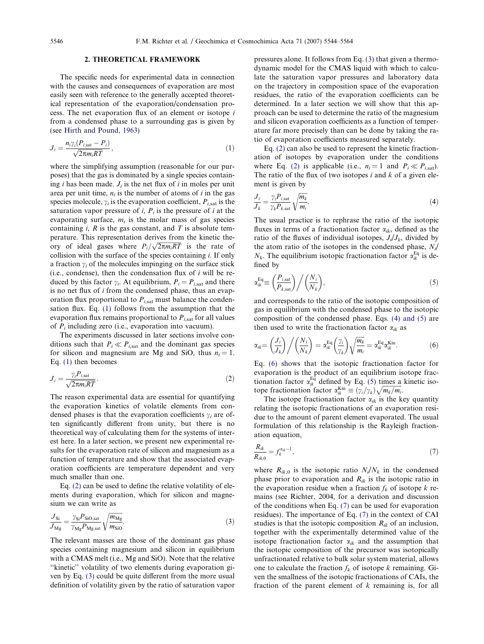# 2. THEORETICAL FRAMEWORK

<span id="page-2-0"></span>The specific needs for experimental data in connection with the causes and consequences of evaporation are most easily seen with reference to the generally accepted theoretical representation of the evaporation/condensation process. The net evaporation flux of an element or isotope i from a condensed phase to a surrounding gas is given by (see [Hirth and Pound, 1963](#page-19-0))

$$
J_i = \frac{n_i \gamma_i (P_{i, \text{sat}} - P_i)}{\sqrt{2\pi m_i RT}},
$$
\n(1)

where the simplifying assumption (reasonable for our purposes) that the gas is dominated by a single species containing i has been made.  $J_i$  is the net flux of i in moles per unit area per unit time,  $n_i$  is the number of atoms of i in the gas species molecule,  $\gamma_i$  is the evaporation coefficient,  $P_{i, \text{sat}}$  is the saturation vapor pressure of  $i$ ,  $P_i$  is the pressure of i at the evaporating surface,  $m_i$  is the molar mass of gas species containing  $i$ ,  $R$  is the gas constant, and  $T$  is absolute temperature. This representation derives from the kinetic theory of ideal gases where  $P_i/\sqrt{2\pi m_iRT}$  is the rate of collision with the surface of the species containing  $i$ . If only a fraction  $\gamma_i$  of the molecules impinging on the surface stick (i.e., condense), then the condensation flux of  $i$  will be reduced by this factor  $\gamma_i$ . At equilibrium,  $P_i = P_{i, \text{sat}}$  and there is no net flux of i from the condensed phase, thus an evaporation flux proportional to  $P_{i, \text{sat}}$  must balance the condensation flux. Eq. (1) follows from the assumption that the evaporation flux remains proportional to  $P_{i, sat}$  for all values of  $P_i$  including zero (i.e., evaporation into vacuum).

The experiments discussed in later sections involve conditions such that  $P_i \ll P_{i,\text{sat}}$  and the dominant gas species for silicon and magnesium are Mg and SiO, thus  $n_i = 1$ . Eq. (1) then becomes

$$
J_i = \frac{\gamma_i P_{i, \text{sat}}}{\sqrt{2\pi m_i RT}}.\tag{2}
$$

The reason experimental data are essential for quantifying the evaporation kinetics of volatile elements from condensed phases is that the evaporation coefficients  $\gamma_i$  are often significantly different from unity, but there is no theoretical way of calculating them for the systems of interest here. In a later section, we present new experimental results for the evaporation rate of silicon and magnesium as a function of temperature and show that the associated evaporation coefficients are temperature dependent and very much smaller than one.

Eq. (2) can be used to define the relative volatility of elements during evaporation, which for silicon and magnesium we can write as

$$
\frac{J_{\rm Si}}{J_{\rm Mg}} = \frac{\gamma_{\rm Si} P_{\rm SiO, sat}}{\gamma_{\rm Mg} P_{\rm Mg, sat}} \sqrt{\frac{m_{\rm Mg}}{m_{\rm SiO}}}.
$$
\n(3)

The relevant masses are those of the dominant gas phase species containing magnesium and silicon in equilibrium with a CMAS melt (i.e., Mg and SiO). Note that the relative ''kinetic'' volatility of two elements during evaporation given by Eq. (3) could be quite different from the more usual definition of volatility given by the ratio of saturation vapor

pressures alone. It follows from Eq. (3) that given a thermodynamic model for the CMAS liquid with which to calculate the saturation vapor pressures and laboratory data on the trajectory in composition space of the evaporation residues, the ratio of the evaporation coefficients can be determined. In a later section we will show that this approach can be used to determine the ratio of the magnesium and silicon evaporation coefficients as a function of temperature far more precisely than can be done by taking the ratio of evaporation coefficients measured separately.

Eq. (2) can also be used to represent the kinetic fractionation of isotopes by evaporation under the conditions where Eq. (2) is applicable (i.e.,  $n_i = 1$  and  $P_i \ll P_{i, \text{sat}}$ ). The ratio of the flux of two isotopes  $i$  and  $k$  of a given element is given by

$$
\frac{J_i}{J_k} = \frac{\gamma_i P_{i, \text{sat}}}{\gamma_k P_{k, \text{sat}}} \sqrt{\frac{m_k}{m_i}}.
$$
\n(4)

The usual practice is to rephrase the ratio of the isotopic fluxes in terms of a fractionation factor  $\alpha_{ik}$ , defined as the ratio of the fluxes of individual isotopes,  $J_i/J_k$ , divided by the atom ratio of the isotopes in the condensed phase,  $N_i/$  $N_k$ . The equilibrium isotopic fractionation factor  $\alpha_{ik}^{Eq}$  is defined by

$$
\alpha_{ik}^{\text{Eq}} \equiv \left(\frac{P_{i,\text{sat}}}{P_{k,\text{sat}}}\right) / \left(\frac{N_i}{N_k}\right),\tag{5}
$$

and corresponds to the ratio of the isotopic composition of gas in equilibrium with the condensed phase to the isotopic composition of the condensed phase. Eqs. (4) and (5) are then used to write the fractionation factor  $\alpha_{ik}$  as

$$
\alpha_{ik} = \left(\frac{J_i}{J_k}\right) / \left(\frac{N_i}{N_k}\right) = \alpha_{ik}^{\text{Eq}} \left(\frac{\gamma_i}{\gamma_k}\right) \sqrt{\frac{m_k}{m_i}} = \alpha_{ik}^{\text{Eq}} \alpha_{ik}^{\text{Kin}}.
$$
 (6)

Eq. (6) shows that the isotopic fractionation factor for evaporation is the product of an equilibrium isotope fractionation factor  $\alpha_{ik}^{Eq}$  defined by Eq. (5) times a kinetic isotope fractionation factor  $\alpha_{ik}^{Kin} \equiv (\gamma_i/\gamma_k) \sqrt{m_k/m_i}$ .

The isotope fractionation factor  $\alpha_{ik}$  is the key quantity relating the isotopic fractionations of an evaporation residue to the amount of parent element evaporated. The usual formulation of this relationship is the Rayleigh fractionation equation,

$$
\frac{R_{ik}}{R_{ik,0}} = f_k^{\alpha_{ik}-1},\tag{7}
$$

where  $R_{ik,0}$  is the isotopic ratio  $N_i/N_k$  in the condensed phase prior to evaporation and  $R_{ik}$  is the isotopic ratio in the evaporation residue when a fraction  $f_k$  of isotope k remains (see Richter, 2004, for a derivation and discussion of the conditions when Eq. (7) can be used for evaporation residues). The importance of Eq. (7) in the context of CAI studies is that the isotopic composition  $R_{ik}$  of an inclusion, together with the experimentally determined value of the isotope fractionation factor  $\alpha_{ik}$  and the assumption that the isotopic composition of the precursor was isotopically unfractionated relative to bulk solar system material, allows one to calculate the fraction  $f_k$  of isotope k remaining. Given the smallness of the isotopic fractionations of CAIs, the fraction of the parent element of  $k$  remaining is, for all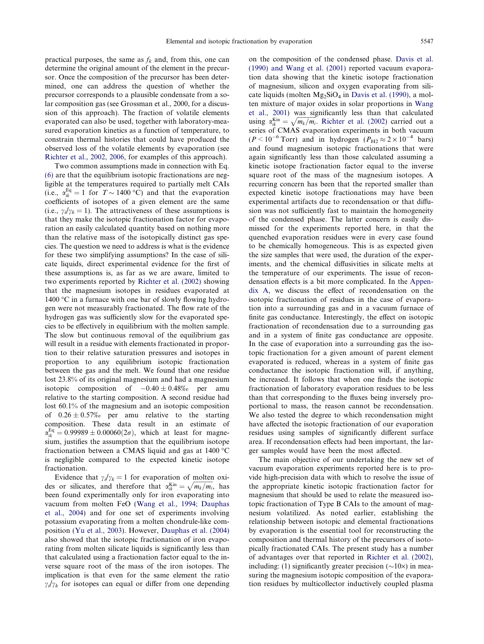practical purposes, the same as  $f_k$  and, from this, one can determine the original amount of the element in the precursor. Once the composition of the precursor has been determined, one can address the question of whether the precursor corresponds to a plausible condensate from a solar composition gas (see Grossman et al., 2000, for a discussion of this approach). The fraction of volatile elements evaporated can also be used, together with laboratory-measured evaporation kinetics as a function of temperature, to constrain thermal histories that could have produced the observed loss of the volatile elements by evaporation (see [Richter et al., 2002, 2006,](#page-19-0) for examples of this approach).

Two common assumptions made in connection with Eq. [\(6\)](#page-2-0) are that the equilibrium isotopic fractionations are negligible at the temperatures required to partially melt CAIs (i.e.,  $\alpha_{ik}^{Eq} = 1$  for  $T \sim 1400 \degree C$ ) and that the evaporation coefficients of isotopes of a given element are the same (i.e.,  $\gamma_i/\gamma_k = 1$ ). The attractiveness of these assumptions is that they make the isotopic fractionation factor for evaporation an easily calculated quantity based on nothing more than the relative mass of the isotopically distinct gas species. The question we need to address is what is the evidence for these two simplifying assumptions? In the case of silicate liquids, direct experimental evidence for the first of these assumptions is, as far as we are aware, limited to two experiments reported by [Richter et al. \(2002\)](#page-19-0) showing that the magnesium isotopes in residues evaporated at 1400  $\degree$ C in a furnace with one bar of slowly flowing hydrogen were not measurably fractionated. The flow rate of the hydrogen gas was sufficiently slow for the evaporated species to be effectively in equilibrium with the molten sample. The slow but continuous removal of the equilibrium gas will result in a residue with elements fractionated in proportion to their relative saturation pressures and isotopes in proportion to any equilibrium isotopic fractionation between the gas and the melt. We found that one residue lost 23.8% of its original magnesium and had a magnesium isotopic composition of  $-0.40 \pm 0.48\%$  per amu relative to the starting composition. A second residue had lost 60.1% of the magnesium and an isotopic composition of  $0.26 \pm 0.57\%$  per amu relative to the starting composition. These data result in an estimate of  $\alpha_{ik}^{\text{Eq}} = 0.99989 \pm 0.00060(2\sigma)$ , which at least for magnesium, justifies the assumption that the equilibrium isotope fractionation between a CMAS liquid and gas at  $1400\text{ °C}$ is negligible compared to the expected kinetic isotope fractionation.

Evidence that  $\gamma_i/\gamma_k = 1$  for evaporation of molten oxi-Evidence that  $\gamma_n^H / k = 1$  for evaporation of indicent oxides or silicates, and therefore that  $\alpha_{kk}^{Kin} = \sqrt{m_k/m_i}$ , has been found experimentally only for iron evaporating into vacuum from molten FeO [\(Wang et al., 1994; Dauphas](#page-20-0) [et al., 2004\)](#page-20-0) and for one set of experiments involving potassium evaporating from a molten chondrule-like composition [\(Yu et al., 2003](#page-20-0)). However, [Dauphas et al. \(2004\)](#page-19-0) also showed that the isotopic fractionation of iron evaporating from molten silicate liquids is significantly less than that calculated using a fractionation factor equal to the inverse square root of the mass of the iron isotopes. The implication is that even for the same element the ratio  $\gamma_i/\gamma_k$  for isotopes can equal or differ from one depending

on the composition of the condensed phase. [Davis et al.](#page-19-0) [\(1990\) and Wang et al. \(2001\)](#page-19-0) reported vacuum evaporation data showing that the kinetic isotope fractionation of magnesium, silicon and oxygen evaporating from sili-cate liquids (molten Mg<sub>2</sub>SiO<sub>4</sub> in [Davis et al. \(1990\)](#page-19-0), a molten mixture of major oxides in solar proportions in [Wang](#page-20-0) [et al., 2001\)](#page-20-0) was significantly less than that calculated using  $\alpha_{ik}^{Kin} = \sqrt{m_k/m_i}$ . [Richter et al. \(2002\)](#page-19-0) carried out a series of CMAS evaporation experiments in both vacuum  $(P<10^{-6}$  Torr) and in hydrogen  $(P_{H2} \approx 2 \times 10^{-4}$  bars) and found magnesium isotopic fractionations that were again significantly less than those calculated assuming a kinetic isotope fractionation factor equal to the inverse square root of the mass of the magnesium isotopes. A recurring concern has been that the reported smaller than expected kinetic isotope fractionations may have been experimental artifacts due to recondensation or that diffusion was not sufficiently fast to maintain the homogeneity of the condensed phase. The latter concern is easily dismissed for the experiments reported here, in that the quenched evaporation residues were in every case found to be chemically homogeneous. This is as expected given the size samples that were used, the duration of the experiments, and the chemical diffusivities in silicate melts at the temperature of our experiments. The issue of recondensation effects is a bit more complicated. In the Appendix A, we discuss the effect of recondensation on the isotopic fractionation of residues in the case of evaporation into a surrounding gas and in a vacuum furnace of finite gas conductance. Interestingly, the effect on isotopic fractionation of recondensation due to a surrounding gas and in a system of finite gas conductance are opposite. In the case of evaporation into a surrounding gas the isotopic fractionation for a given amount of parent element evaporated is reduced, whereas in a system of finite gas conductance the isotopic fractionation will, if anything, be increased. It follows that when one finds the isotopic fractionation of laboratory evaporation residues to be less than that corresponding to the fluxes being inversely proportional to mass, the reason cannot be recondensation. We also tested the degree to which recondensation might have affected the isotopic fractionation of our evaporation residues using samples of significantly different surface area. If recondensation effects had been important, the larger samples would have been the most affected.

The main objective of our undertaking the new set of vacuum evaporation experiments reported here is to provide high-precision data with which to resolve the issue of the appropriate kinetic isotopic fractionation factor for magnesium that should be used to relate the measured isotopic fractionation of Type B CAIs to the amount of magnesium volatilized. As noted earlier, establishing the relationship between isotopic and elemental fractionations by evaporation is the essential tool for reconstructing the composition and thermal history of the precursors of isotopically fractionated CAIs. The present study has a number of advantages over that reported in [Richter et al. \(2002\)](#page-19-0), including: (1) significantly greater precision ( $\sim$ 10 $\times$ ) in measuring the magnesium isotopic composition of the evaporation residues by multicollector inductively coupled plasma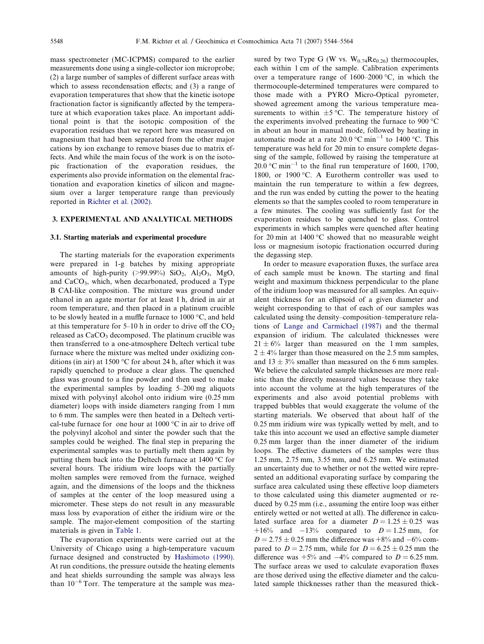mass spectrometer (MC-ICPMS) compared to the earlier measurements done using a single-collector ion microprobe; (2) a large number of samples of different surface areas with which to assess recondensation effects; and (3) a range of evaporation temperatures that show that the kinetic isotope fractionation factor is significantly affected by the temperature at which evaporation takes place. An important additional point is that the isotopic composition of the evaporation residues that we report here was measured on magnesium that had been separated from the other major cations by ion exchange to remove biases due to matrix effects. And while the main focus of the work is on the isotopic fractionation of the evaporation residues, the experiments also provide information on the elemental fractionation and evaporation kinetics of silicon and magnesium over a larger temperature range than previously reported in [Richter et al. \(2002\)](#page-19-0).

# 3. EXPERIMENTAL AND ANALYTICAL METHODS

## 3.1. Starting materials and experimental procedure

The starting materials for the evaporation experiments were prepared in 1-g batches by mixing appropriate amounts of high-purity (>99.99%)  $SiO_2$ ,  $Al_2O_3$ ,  $MgO$ , and CaCO3, which, when decarbonated, produced a Type B CAI-like composition. The mixture was ground under ethanol in an agate mortar for at least 1 h, dried in air at room temperature, and then placed in a platinum crucible to be slowly heated in a muffle furnace to  $1000 \degree C$ , and held at this temperature for  $5-10$  h in order to drive off the  $CO<sub>2</sub>$ released as  $CaCO<sub>3</sub>$  decomposed. The platinum crucible was then transferred to a one-atmosphere Deltech vertical tube furnace where the mixture was melted under oxidizing conditions (in air) at 1500 °C for about 24 h, after which it was rapidly quenched to produce a clear glass. The quenched glass was ground to a fine powder and then used to make the experimental samples by loading 5–200 mg aliquots mixed with polyvinyl alcohol onto iridium wire (0.25 mm diameter) loops with inside diameters ranging from 1 mm to 6 mm. The samples were then heated in a Deltech vertical-tube furnace for one hour at  $1000 \degree C$  in air to drive off the polyvinyl alcohol and sinter the powder such that the samples could be weighed. The final step in preparing the experimental samples was to partially melt them again by putting them back into the Deltech furnace at  $1400^{\circ}$ C for several hours. The iridium wire loops with the partially molten samples were removed from the furnace, weighed again, and the dimensions of the loops and the thickness of samples at the center of the loop measured using a micrometer. These steps do not result in any measurable mass loss by evaporation of either the iridium wire or the sample. The major-element composition of the starting materials is given in [Table 1](#page-5-0).

The evaporation experiments were carried out at the University of Chicago using a high-temperature vacuum furnace designed and constructed by [Hashimoto \(1990\).](#page-19-0) At run conditions, the pressure outside the heating elements and heat shields surrounding the sample was always less than  $10^{-6}$  Torr. The temperature at the sample was mea-

sured by two Type G (W vs.  $W_{0.74}$ Re<sub>0.26</sub>) thermocouples, each within 1 cm of the sample. Calibration experiments over a temperature range of  $1600-2000$  °C, in which the thermocouple-determined temperatures were compared to those made with a PYRO Micro-Optical pyrometer, showed agreement among the various temperature measurements to within  $\pm 5$  °C. The temperature history of the experiments involved preheating the furnace to  $900\text{ °C}$ in about an hour in manual mode, followed by heating in automatic mode at a rate  $20.0$  °C min<sup>-1</sup> to 1400 °C. This temperature was held for 20 min to ensure complete degassing of the sample, followed by raising the temperature at 20.0  $^{\circ}$ C min<sup>-1</sup> to the final run temperature of 1600, 1700, 1800, or 1900 °C. A Eurotherm controller was used to maintain the run temperature to within a few degrees, and the run was ended by cutting the power to the heating elements so that the samples cooled to room temperature in a few minutes. The cooling was sufficiently fast for the evaporation residues to be quenched to glass. Control experiments in which samples were quenched after heating for 20 min at 1400  $\degree$ C showed that no measurable weight loss or magnesium isotopic fractionation occurred during the degassing step.

In order to measure evaporation fluxes, the surface area of each sample must be known. The starting and final weight and maximum thickness perpendicular to the plane of the iridium loop was measured for all samples. An equivalent thickness for an ellipsoid of a given diameter and weight corresponding to that of each of our samples was calculated using the density–composition–temperature relations of [Lange and Carmichael \(1987\)](#page-19-0) and the thermal expansion of iridium. The calculated thicknesses were  $21 \pm 6\%$  larger than measured on the 1 mm samples,  $2 \pm 4\%$  larger than those measured on the 2.5 mm samples, and  $13 \pm 3\%$  smaller than measured on the 6 mm samples. We believe the calculated sample thicknesses are more realistic than the directly measured values because they take into account the volume at the high temperatures of the experiments and also avoid potential problems with trapped bubbles that would exaggerate the volume of the starting materials. We observed that about half of the 0.25 mm iridium wire was typically wetted by melt, and to take this into account we used an effective sample diameter 0.25 mm larger than the inner diameter of the iridium loops. The effective diameters of the samples were thus 1.25 mm, 2.75 mm, 3.55 mm, and 6.25 mm. We estimated an uncertainty due to whether or not the wetted wire represented an additional evaporating surface by comparing the surface area calculated using these effective loop diameters to those calculated using this diameter augmented or reduced by 0.25 mm (i.e., assuming the entire loop was either entirely wetted or not wetted at all). The difference in calculated surface area for a diameter  $D = 1.25 \pm 0.25$  was  $+16\%$  and  $-13\%$  compared to  $D = 1.25$  mm, for  $D = 2.75 \pm 0.25$  mm the difference was  $+8\%$  and  $-6\%$  compared to  $D = 2.75$  mm, while for  $D = 6.25 \pm 0.25$  mm the difference was  $+5\%$  and  $-4\%$  compared to  $D = 6.25$  mm. The surface areas we used to calculate evaporation fluxes are those derived using the effective diameter and the calculated sample thicknesses rather than the measured thick-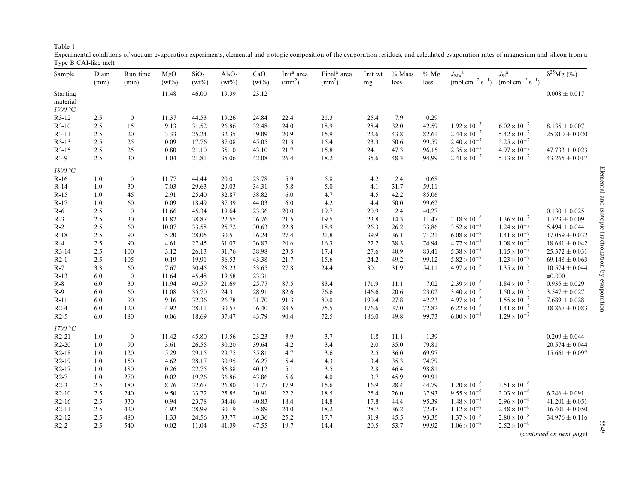<span id="page-5-0"></span>

|--|

Experimental conditions of vacuum evaporation experiments, elemental and isotopic composition of the evaporation residues, and calculated evaporation rates of magnesium and silicon from <sup>a</sup> Type B CAI-like melt

| Sample                     | Diam | Run time         | MgO      | SiO <sub>2</sub> | $Al_2O_3$ | CaO      | Init <sup>a</sup> area | Final <sup>a</sup> area | Init wt | $%$ Mass | $%$ Mg  | $J_{\rm Mg}^{\quad a}$                     | $J_{\rm Si}^{-{\rm a}}$               | $\delta^{25}\mathrm{Mg}$ $(\%o)$ |
|----------------------------|------|------------------|----------|------------------|-----------|----------|------------------------|-------------------------|---------|----------|---------|--------------------------------------------|---------------------------------------|----------------------------------|
|                            | (mm) | (min)            | $(wt\%)$ | $(wt\%)$         | $(wt\%)$  | $(wt\%)$ | $\text{m}^2$           | $\text{m}^2$            | mg      | loss     | loss    | $\mathrm{(mol\ cm}^{-2}\mathrm{\ s}^{-1})$ | $\text{(mol cm}^{-2} \text{ s}^{-1})$ |                                  |
| Starting                   |      |                  | 11.48    | 46.00            | 19.39     | 23.12    |                        |                         |         |          |         |                                            |                                       | $0.008 \pm 0.017$                |
| material                   |      |                  |          |                  |           |          |                        |                         |         |          |         |                                            |                                       |                                  |
| $1900\,^{\circ}\mathrm{C}$ |      |                  |          |                  |           |          |                        |                         |         |          |         |                                            |                                       |                                  |
| R3-12                      | 2.5  | $\boldsymbol{0}$ | 11.37    | 44.53            | 19.26     | 24.84    | 22.4                   | 21.3                    | 25.4    | 7.9      | 0.29    |                                            |                                       |                                  |
| $R3-10$                    | 2.5  | 15               | 9.13     | 31.52            | 26.86     | 32.48    | 24.0                   | 18.9                    | 28.4    | 32.0     | 42.59   | $1.92 \times 10^{-7}$                      | $6.02 \times 10^{-7}$                 | $8.135 \pm 0.007$                |
| R3-11                      | 2.5  | $20\,$           | 3.33     | 25.24            | 32.35     | 39.09    | 20.9                   | 15.9                    | 22.6    | 43.8     | 82.61   | $2.44 \times 10^{-7}$                      | $5.42 \times 10^{-7}$                 | $25.810 \pm 0.020$               |
| R3-13                      | 2.5  | 25               | 0.09     | 17.76            | 37.08     | 45.05    | 21.3                   | 15.4                    | 23.3    | 50.6     | 99.59   | $2.40 \times 10^{-7}$                      | $5.25 \times 10^{-7}$                 |                                  |
| R3-15                      | 2.5  | 25               | 0.80     | 21.10            | 35.10     | 43.10    | 21.7                   | 15.8                    | 24.1    | 47.3     | 96.15   | $2.35 \times 10^{-7}$                      | $4.97 \times 10^{-7}$                 | $47.733 \pm 0.023$               |
| $R3-9$                     | 2.5  | $30\,$           | 1.04     | 21.81            | 35.06     | 42.08    | 26.4                   | 18.2                    | 35.6    | 48.3     | 94.99   | $2.41 \times 10^{-7}$                      | $5.13 \times 10^{-7}$                 | $43.265 \pm 0.017$               |
| $1800\,^{\circ}\mathrm{C}$ |      |                  |          |                  |           |          |                        |                         |         |          |         |                                            |                                       |                                  |
| $R-16$                     | 1.0  | $\boldsymbol{0}$ | 11.77    | 44.44            | 20.01     | 23.78    | 5.9                    | 5.8                     | $4.2\,$ | 2.4      | 0.68    |                                            |                                       |                                  |
| $R-14$                     | 1.0  | $30\,$           | 7.03     | 29.63            | 29.03     | 34.31    | 5.8                    | 5.0                     | 4.1     | 31.7     | 59.11   |                                            |                                       |                                  |
| $R-15$                     | 1.0  | 45               | 2.91     | 25.40            | 32.87     | 38.82    | 6.0                    | 4.7                     | 4.5     | 42.2     | 85.06   |                                            |                                       |                                  |
| $R-17$                     | 1.0  | 60               | 0.09     | 18.49            | 37.39     | 44.03    | 6.0                    | 4.2                     | 4.4     | 50.0     | 99.62   |                                            |                                       |                                  |
| $R-6$                      | 2.5  | $\boldsymbol{0}$ | 11.66    | 45.34            | 19.64     | 23.36    | 20.0                   | 19.7                    | 20.9    | 2.4      | $-0.27$ |                                            |                                       | $0.130 \pm 0.025$                |
| $R-3$                      | 2.5  | $30\,$           | 11.82    | 38.87            | 22.55     | 26.76    | 21.5                   | 19.5                    | 23.8    | 14.3     | 11.47   | $2.18 \times 10^{-8}$                      | $1.36 \times 10^{-7}$                 | $1.723 \pm 0.009$                |
| $R-2$                      | 2.5  | 60               | 10.07    | 33.58            | 25.72     | 30.63    | 22.8                   | 18.9                    | 26.3    | 26.2     | 33.86   | $3.52 \times 10^{-8}$                      | $1.24 \times 10^{-7}$                 | $5.494 \pm 0.044$                |
| $R-18$                     | 2.5  | 90               | 5.20     | 28.05            | 30.51     | 36.24    | 27.4                   | 21.8                    | 39.9    | 36.1     | 71.21   | $6.08 \times 10^{-8}$                      | $1.41 \times 10^{-7}$                 | $17.059 \pm 0.032$               |
| $R-4$                      | 2.5  | $90\,$           | 4.61     | 27.45            | 31.07     | 36.87    | 20.6                   | 16.3                    | 22.2    | 38.3     | 74.94   | $4.77 \times 10^{-8}$                      | $1.08 \times 10^{-7}$                 | $18.681 \pm 0.042$               |
| R3-14                      | 2.5  | 100              | 3.12     | 26.13            | 31.76     | 38.98    | 23.5                   | 17.4                    | 27.6    | 40.9     | 83.41   | $5.38 \times 10^{-8}$                      | $1.15 \times 10^{-7}$                 | $25.372 \pm 0.031$               |
| $R2-1$                     | 2.5  | 105              | 0.19     | 19.91            | 36.53     | 43.38    | 21.7                   | 15.6                    | 24.2    | 49.2     | 99.12   | $5.82 \times 10^{-8}$                      | $1.23 \times 10^{-7}$                 | $69.148 \pm 0.063$               |
| $R-7$                      | 3.3  | 60               | 7.67     | 30.45            | 28.23     | 33.65    | 27.8                   | 24.4                    | 30.1    | 31.9     | 54.11   | $4.97 \times 10^{-8}$                      | $1.35 \times 10^{-7}$                 | $10.574 \pm 0.044$               |
| $R-13$                     | 6.0  | $\boldsymbol{0}$ | 11.64    | 45.48            | 19.58     | 23.31    |                        |                         |         |          |         |                                            |                                       | $\equiv 0.000$                   |
| $\mathbb{R}\text{-}8$      | 6.0  | 30               | 11.94    | 40.59            | 21.69     | 25.77    | 87.5                   | 83.4                    | 171.9   | 11.1     | 7.02    | $2.39 \times 10^{-8}$                      | $1.84 \times 10^{-7}$                 | $0.935 \pm 0.029$                |
| $R-9$                      | 6.0  | 60               | 11.08    | 35.70            | 24.31     | 28.91    | 82.6                   | 76.6                    | 146.6   | 20.6     | 23.02   | $3.40 \times 10^{-8}$                      | $1.50 \times 10^{-7}$                 | $3.547 \pm 0.027$                |
| $R-11$                     | 6.0  | 90               | 9.16     | 32.36            | 26.78     | 31.70    | 91.3                   | 80.0                    | 190.4   | 27.8     | 42.23   | $4.97 \times 10^{-8}$                      | $1.55 \times 10^{-7}$                 | $7.689 \pm 0.028$                |
| $R2-4$                     | 6.0  | 120              | 4.92     | 28.11            | 30.57     | 36.40    | 88.5                   | 75.5                    | 176.6   | 37.0     | 72.82   | $6.22 \times 10^{-8}$                      | $1.41 \times 10^{-7}$                 | $18.867 \pm 0.083$               |
| $R2-5$                     | 6.0  | 180              | 0.06     | 18.69            | 37.47     | 43.79    | 90.4                   | 72.5                    | 186.0   | 49.8     | 99.73   | $6.00 \times 10^{-8}$                      | $1.29 \times 10^{-7}$                 |                                  |
| $1700\,^{\circ}\mathrm{C}$ |      |                  |          |                  |           |          |                        |                         |         |          |         |                                            |                                       |                                  |
| $R2-21$                    | 1.0  | $\boldsymbol{0}$ | 11.42    | 45.80            | 19.56     | 23.23    | 3.9                    | 3.7                     | 1.8     | 11.1     | 1.39    |                                            |                                       | $0.209 \pm 0.044$                |
| $R2-20$                    | 1.0  | 90               | 3.61     | 26.55            | 30.20     | 39.64    | $4.2\,$                | 3.4                     | 2.0     | 35.0     | 79.81   |                                            |                                       | $20.574 \pm 0.044$               |
| $R2-18$                    | 1.0  | 120              | 5.29     | 29.15            | 29.75     | 35.81    | 4.7                    | 3.6                     | 2.5     | 36.0     | 69.97   |                                            |                                       | $15.661 \pm 0.097$               |
| R <sub>2</sub> -19         | 1.0  | 150              | 4.62     | 28.17            | 30.95     | 36.27    | 5.4                    | 4.3                     | 3.4     | 35.3     | 74.79   |                                            |                                       |                                  |
| $R2-17$                    | 1.0  | 180              | 0.26     | 22.75            | 36.88     | 40.12    | 5.1                    | 3.5                     | $2.8\,$ | 46.4     | 98.81   |                                            |                                       |                                  |
| $R2-7$                     | 1.0  | 270              | 0.02     | 19.26            | 36.86     | 43.86    | 5.6                    | 4.0                     | 3.7     | 45.9     | 99.91   |                                            |                                       |                                  |
| $R2-3$                     | 2.5  | 180              | 8.76     | 32.67            | 26.80     | 31.77    | 17.9                   | 15.6                    | 16.9    | 28.4     | 44.79   | $1.20 \times 10^{-8}$                      | $3.51 \times 10^{-8}$                 |                                  |
| $R2-10$                    | 2.5  | 240              | 9.50     | 33.72            | 25.85     | 30.91    | 22.2                   | 18.5                    | 25.4    | 26.0     | 37.93   | $9.55 \times 10^{-9}$                      | $3.03 \times 10^{-8}$                 | $6.246 \pm 0.091$                |
| $R2-16$                    | 2.5  | 330              | 0.94     | 23.78            | 34.46     | 40.83    | 18.4                   | 14.8                    | 17.8    | 44.4     | 95.39   | $1.48 \times 10^{-8}$                      | $2.96 \times 10^{-8}$                 | $41.201 \pm 0.051$               |
| $R2-11$                    | 2.5  | 420              | 4.92     | 28.99            | 30.19     | 35.89    | 24.0                   | 18.2                    | 28.7    | 36.2     | 72.47   | $1.12 \times 10^{-8}$                      | $2.48 \times 10^{-8}$                 | $16.401 \pm 0.050$               |
| $R2-12$                    | 2.5  | 480              | 1.33     | 24.56            | 33.77     | 40.36    | 25.2                   | 17.7                    | 31.9    | 45.5     | 93.35   | $1.37 \times 10^{-8}$                      | $2.80 \times 10^{-8}$                 | $34.976 \pm 0.116$               |
| $R2-2$                     | 2.5  | 540              | 0.02     | 11.04            | 41.39     | 47.55    | 19.7                   | 14.4                    | 20.5    | 53.7     | 99.92   | $1.06 \times 10^{-8}$                      | $2.52 \times 10^{-8}$                 |                                  |
|                            |      |                  |          |                  |           |          |                        |                         |         |          |         |                                            |                                       | (continued on next page)         |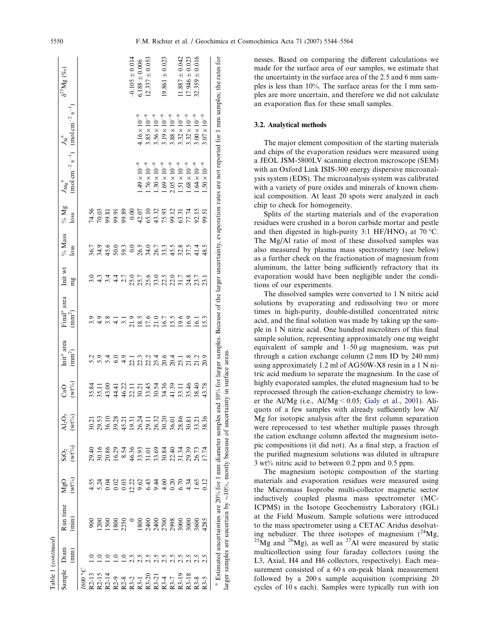<span id="page-6-0"></span>

|                      | Table 1 (continued) |                                                                     |                                                            |                              |                                            |                             |                                              |                                               |                               |                                                               |                                                               |                                                                                                                         |                                                                                                                                                                                                          |                              |
|----------------------|---------------------|---------------------------------------------------------------------|------------------------------------------------------------|------------------------------|--------------------------------------------|-----------------------------|----------------------------------------------|-----------------------------------------------|-------------------------------|---------------------------------------------------------------|---------------------------------------------------------------|-------------------------------------------------------------------------------------------------------------------------|----------------------------------------------------------------------------------------------------------------------------------------------------------------------------------------------------------|------------------------------|
| Sample               | Diam<br>(mm)        | Run time<br>$(\min)$                                                | $(wt\%)$<br>MgO                                            | $(wt\%)$<br>SiO <sub>2</sub> | AI <sub>2</sub> O <sub>3</sub><br>$(wt\%)$ | $(wt\%)$<br>යි              | Init <sup>a</sup> area<br>(mm <sup>2</sup> ) | Final <sup>a</sup> area<br>(mm <sup>2</sup> ) | Init wt                       | $\%$ Mass<br>loss                                             | $\%$ Mg<br>loss                                               | $J_{\rm Mg}^{\phantom{3}a}$                                                                                             | $\text{ (mol cm}^{-2} \text{ s}^{-1})$ $\text{ (mol cm}^{-2} \text{ s}^{-1})$<br>$J_{\rm Si}^{\phantom{Si}a}$                                                                                            | $\delta^{25}{\rm Mg}$ $(\%)$ |
|                      |                     |                                                                     |                                                            |                              |                                            |                             |                                              |                                               | mg                            |                                                               |                                                               |                                                                                                                         |                                                                                                                                                                                                          |                              |
| <b><i>C</i></b> 0091 |                     |                                                                     |                                                            |                              |                                            |                             |                                              |                                               |                               |                                                               |                                                               |                                                                                                                         |                                                                                                                                                                                                          |                              |
|                      |                     | 80                                                                  |                                                            |                              |                                            | 35.84                       |                                              |                                               |                               |                                                               |                                                               |                                                                                                                         |                                                                                                                                                                                                          |                              |
|                      |                     | 1200                                                                |                                                            |                              |                                            | 35.11                       |                                              |                                               | $4 \frac{1}{9}$               |                                                               | 74.56<br>70.03                                                |                                                                                                                         |                                                                                                                                                                                                          |                              |
|                      |                     | 500                                                                 |                                                            |                              |                                            |                             |                                              |                                               |                               |                                                               |                                                               |                                                                                                                         |                                                                                                                                                                                                          |                              |
|                      |                     | 1800                                                                |                                                            |                              |                                            |                             |                                              |                                               | $\frac{4}{4}$                 |                                                               | 99.81<br>99.91                                                |                                                                                                                         |                                                                                                                                                                                                          |                              |
|                      |                     | 2250                                                                |                                                            |                              |                                            |                             | 4.9                                          |                                               | 2.7                           |                                                               | 99.89                                                         |                                                                                                                         |                                                                                                                                                                                                          |                              |
|                      | 2.5                 | $\overline{\phantom{0}}$                                            |                                                            |                              |                                            |                             | 22.1                                         | 21.9                                          | 25.0                          |                                                               | 0.00                                                          |                                                                                                                         |                                                                                                                                                                                                          | $-0.105 \pm 0.014$           |
|                      |                     |                                                                     | 4 2 2 2 3 2 3 4 4 6 9 6 7<br>2 4 4 5 6 6 7 8 7 8 7 8 9 8 9 |                              |                                            | 43.411114446991144442133446 |                                              | 18.5                                          |                               | 了のよのこのこのアミス sa sa sa sa<br>あれたのののひれる? sa sa sa sa t<br>このようのの |                                                               | $49\times10^{-9}$                                                                                                       | $4.16 \times 10^{-9}$                                                                                                                                                                                    | $6.188 \pm 0.006$            |
|                      | 2.5<br>2.5          |                                                                     |                                                            |                              |                                            |                             |                                              | 17.6                                          |                               |                                                               |                                                               | $1.76 \times 10^{-9}$                                                                                                   | $3.85 \times 10^{-9}$                                                                                                                                                                                    | $12.337 \pm 0.053$           |
|                      |                     |                                                                     |                                                            |                              |                                            |                             |                                              |                                               |                               |                                                               |                                                               | $.30 \times 10^{-9}$                                                                                                    | $3.56 \times 10^{-9}$                                                                                                                                                                                    |                              |
|                      |                     |                                                                     |                                                            |                              |                                            |                             |                                              |                                               |                               |                                                               |                                                               |                                                                                                                         | $3.19 \times 10^{-9}$                                                                                                                                                                                    | $19.861 \pm 0.023$           |
|                      |                     |                                                                     |                                                            |                              |                                            |                             |                                              |                                               |                               |                                                               |                                                               |                                                                                                                         | $3.88 \times 10^{-9}$                                                                                                                                                                                    |                              |
|                      |                     | 888888888<br>2008888888                                             |                                                            |                              |                                            |                             |                                              | 21.0<br>16.7<br>19.6                          | 7.609.97.87.7<br>2020<br>2020 |                                                               | $42.07$<br>$65.10$<br>$65.33$<br>$75.9$<br>$63.31$<br>$77.74$ | $\begin{array}{l} 1.69 \times 10^{-9} \\ 2.05 \times 10^{-9} \\ 1.51 \times 10^{-9} \\ 1.68 \times 10^{-9} \end{array}$ | $3.32 \times 10^{-9}$                                                                                                                                                                                    | $1.887 \pm 0.042$            |
|                      |                     |                                                                     |                                                            |                              |                                            |                             |                                              | 16.9                                          |                               |                                                               |                                                               |                                                                                                                         | $3.32 \times 10^{-9}$                                                                                                                                                                                    | $(7.946 \pm 0.023)$          |
| $R3-8$               |                     |                                                                     | $4.\overline{34}$                                          |                              |                                            | 38.40                       |                                              | 16.1                                          |                               |                                                               | 92.15                                                         | $.64 \times 10^{-9}$                                                                                                    | $3.00 \times 10^{-9}$                                                                                                                                                                                    | $32.359 \pm 0.016$           |
| $R3-5$               |                     | 4285                                                                | 0.12                                                       |                              |                                            | 43.78                       | 20.9                                         | 15.3                                          | 23.1                          | 48.5                                                          | 99.51                                                         | $.50\times10^{-9}$                                                                                                      | $8.07 \times 10^{-9}$                                                                                                                                                                                    |                              |
|                      |                     |                                                                     |                                                            |                              |                                            |                             |                                              |                                               |                               |                                                               |                                                               |                                                                                                                         | <sup>a</sup> Estimated uncertainties are 20% for 1 mm diameter samples and 10% for larger samples. Because of the larger uncertainty, evaporation rates are not reported for 1 mm samples; the rates for |                              |
|                      |                     | larger samples are uncertain by $\sim 10\%$ , mostly because of uno |                                                            |                              |                                            | certainty in surface areas  |                                              |                                               |                               |                                                               |                                                               |                                                                                                                         |                                                                                                                                                                                                          |                              |

nesses. Based on comparing the different calculations we made for the surface area of our samples, we estimate that the uncertainty in the surface area of the 2.5 and 6 mm samples is less than 10%. The surface areas for the 1 mm samples are more uncertain, and therefore we did not calculate an evaporation flux for these small samples.

### 3.2. Analytical methods

The major element composition of the starting materials and chips of the evaporation residues were measured using a JEOL JSM-5800LV scanning electron microscope (SEM) with an Oxford Link ISIS-300 energy dispersive microanalysis system (EDS). The microanalysis system was calibrated with a variety of pure oxides and minerals of known chemical composition. At least 20 spots were analyzed in each chip to check for homogeneity.

Splits of the starting materials and of the evaporation residues were crushed in a boron carbide mortar and pestle and then digested in high-purity 3:1 HF/HNO<sub>3</sub> at 70 °C. The Mg/Al ratio of most of these dissolved samples was also measured by plasma mass spectrometry (see below) as a further check on the fractionation of magnesium from aluminum, the latter being sufficiently refractory that its evaporation would have been negligible under the conditions of our experiments.

The dissolved samples were converted to 1 N nitric acid solutions by evaporating and redissolving two or more times in high-purity, double-distilled concentrated nitric acid, and the final solution was made by taking up the sample in 1 N nitric acid. One hundred microliters of this final sample solution, representing approximately one mg weight equivalent of sample and  $1-50 \mu$ g magnesium, was put through a cation exchange column (2 mm ID by 240 mm) using approximately 1.2 ml of AG50W-X8 resin in a 1 N nitric acid medium to separate the magnesium. In the case of highly evaporated samples, the eluted magnesium had to be reprocessed through the cation-exchange chemistry to lower the Al/Mg (i.e.,  $Al/Mg \leq 0.05$ ; [Galy et al., 2001\)](#page-19-0). Aliquots of a few samples with already sufficiently low Al/ Mg for isotopic analysis after the first column separation were reprocessed to test whether multiple passes through the cation exchange column affected the magnesium isotopic compositions (it did not). As a final step, a fraction of the purified magnesium solutions was diluted in ultrapure 3 wt% nitric acid to between 0.2 ppm and 0.5 ppm.

The magnesium isotopic composition of the starting materials and evaporation residues were measured using the Micromass Isoprobe multi-collector magnetic sector inductively coupled plasma mass spectrometer (MC-ICPMS) in the Isotope Geochemistry Laboratory (IGL) at the Field Museum. Sample solutions were introduced to the mass spectrometer using a CETAC Aridus desolvating nebulizer. The three isotopes of magnesium  $(^{24}Mg)$ ,  $^{25}$ Mg and  $^{26}$ Mg), as well as  $^{27}$ Al were measured by static multicollection using four faraday collectors (using the L3, Axial, H4 and H6 collectors, respectively). Each measurement consisted of a 60 s on-peak blank measurement followed by a 200 s sample acquisition (comprising 20 cycles of 10 s each). Samples were typically run with ion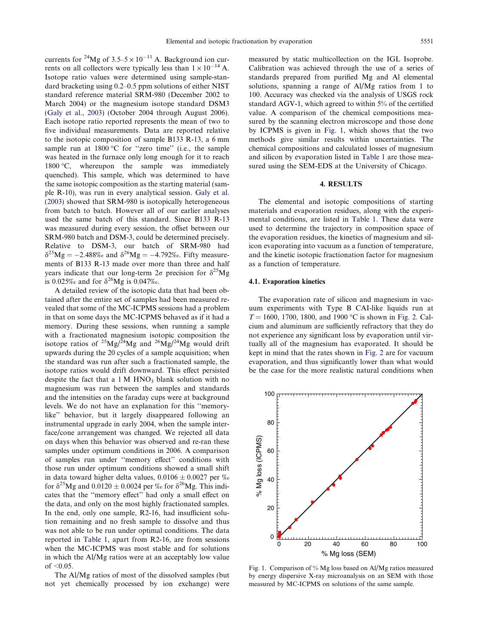currents for <sup>24</sup>Mg of  $3.5-5 \times 10^{-11}$  A. Background ion currents on all collectors were typically less than  $1 \times 10^{-14}$  A. Isotope ratio values were determined using sample-standard bracketing using 0.2–0.5 ppm solutions of either NIST standard reference material SRM-980 (December 2002 to March 2004) or the magnesium isotope standard DSM3 [\(Galy et al., 2003\)](#page-19-0) (October 2004 through August 2006). Each isotope ratio reported represents the mean of two to five individual measurements. Data are reported relative to the isotopic composition of sample B133 R-13, a 6 mm sample run at  $1800\text{ °C}$  for "zero time" (i.e., the sample was heated in the furnace only long enough for it to reach 1800 °C, whereupon the sample was immediately quenched). This sample, which was determined to have the same isotopic composition as the starting material (sample R-10), was run in every analytical session. [Galy et al.](#page-19-0) [\(2003\)](#page-19-0) showed that SRM-980 is isotopically heterogeneous from batch to batch. However all of our earlier analyses used the same batch of this standard. Since B133 R-13 was measured during every session, the offset between our SRM-980 batch and DSM-3, could be determined precisely. Relative to DSM-3, our batch of SRM-980 had  $\delta^{25}Mg = -2.488\%$  and  $\delta^{26}Mg = -4.792\%$ . Fifty measurements of B133 R-13 made over more than three and half years indicate that our long-term  $2\sigma$  precision for  $\delta^{25}Mg$ is 0.025‰ and for  $\delta^{26}Mg$  is 0.047‰.

A detailed review of the isotopic data that had been obtained after the entire set of samples had been measured revealed that some of the MC-ICPMS sessions had a problem in that on some days the MC-ICPMS behaved as if it had a memory. During these sessions, when running a sample with a fractionated magnesium isotopic composition the isotope ratios of  $^{25}Mg/^{24}Mg$  and  $^{26}Mg/^{24}Mg$  would drift upwards during the 20 cycles of a sample acquisition; when the standard was run after such a fractionated sample, the isotope ratios would drift downward. This effect persisted despite the fact that a  $1 M HNO<sub>3</sub>$  blank solution with no magnesium was run between the samples and standards and the intensities on the faraday cups were at background levels. We do not have an explanation for this ''memorylike'' behavior, but it largely disappeared following an instrumental upgrade in early 2004, when the sample interface/cone arrangement was changed. We rejected all data on days when this behavior was observed and re-ran these samples under optimum conditions in 2006. A comparison of samples run under ''memory effect'' conditions with those run under optimum conditions showed a small shift in data toward higher delta values,  $0.0106 \pm 0.0027$  per ‰ for  $\delta^{25}Mg$  and  $0.0120 \pm 0.0024$  per ‰ for  $\delta^{26}Mg$ . This indicates that the ''memory effect'' had only a small effect on the data, and only on the most highly fractionated samples. In the end, only one sample, R2-16, had insufficient solution remaining and no fresh sample to dissolve and thus was not able to be run under optimal conditions. The data reported in [Table 1](#page-5-0), apart from R2-16, are from sessions when the MC-ICPMS was most stable and for solutions in which the Al/Mg ratios were at an acceptably low value of  $\leq 0.05$ .

The Al/Mg ratios of most of the dissolved samples (but not yet chemically processed by ion exchange) were measured by static multicollection on the IGL Isoprobe. Calibration was achieved through the use of a series of standards prepared from purified Mg and Al elemental solutions, spanning a range of Al/Mg ratios from 1 to 100. Accuracy was checked via the analysis of USGS rock standard AGV-1, which agreed to within 5% of the certified value. A comparison of the chemical compositions measured by the scanning electron microscope and those done by ICPMS is given in Fig. 1, which shows that the two methods give similar results within uncertainties. The chemical compositions and calculated losses of magnesium and silicon by evaporation listed in [Table 1](#page-5-0) are those measured using the SEM-EDS at the University of Chicago.

# 4. RESULTS

The elemental and isotopic compositions of starting materials and evaporation residues, along with the experimental conditions, are listed in [Table 1.](#page-5-0) These data were used to determine the trajectory in composition space of the evaporation residues, the kinetics of magnesium and silicon evaporating into vacuum as a function of temperature, and the kinetic isotopic fractionation factor for magnesium as a function of temperature.

## 4.1. Evaporation kinetics

The evaporation rate of silicon and magnesium in vacuum experiments with Type B CAI-like liquids run at  $T = 1600, 1700, 1800,$  and 1900 °C is shown in [Fig. 2.](#page-8-0) Calcium and aluminum are sufficiently refractory that they do not experience any significant loss by evaporation until virtually all of the magnesium has evaporated. It should be kept in mind that the rates shown in [Fig. 2](#page-8-0) are for vacuum evaporation, and thus significantly lower than what would be the case for the more realistic natural conditions when



Fig. 1. Comparison of % Mg loss based on Al/Mg ratios measured by energy dispersive X-ray microanalysis on an SEM with those measured by MC-ICPMS on solutions of the same sample.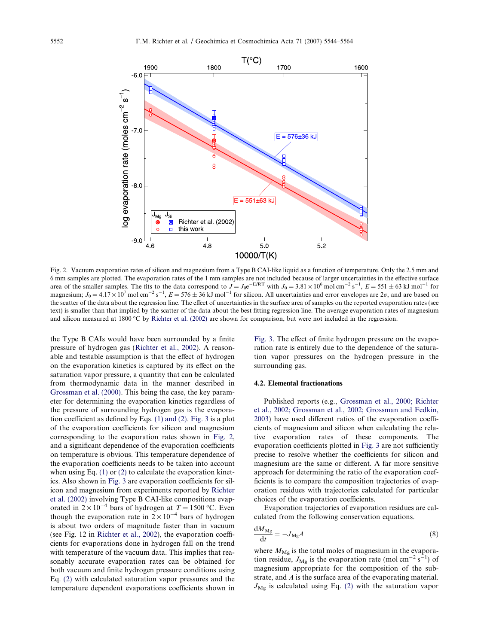<span id="page-8-0"></span>

Fig. 2. Vacuum evaporation rates of silicon and magnesium from a Type B CAI-like liquid as a function of temperature. Only the 2.5 mm and 6 mm samples are plotted. The evaporation rates of the 1 mm samples are not included because of larger uncertainties in the effective surface area of the smaller samples. The fits to the data correspond to  $J = J_0 e^{-E/RT}$  with  $J_0 = 3.81 \times 10^6$  mol cm<sup>-2</sup> s<sup>-1</sup>,  $E = 551 \pm 63$  kJ mol<sup>-1</sup> for magnesium;  $J_0 = 4.17 \times 10^7$  mol cm<sup>-2</sup> s<sup>-1</sup>,  $E = 576 \pm 36$  kJ mol<sup>-1</sup> for silicon. All uncertainties and error envelopes are  $2\sigma$ , and are based on the scatter of the data about the regression line. The effect of uncertainties in the surface area of samples on the reported evaporation rates (see text) is smaller than that implied by the scatter of the data about the best fitting regression line. The average evaporation rates of magnesium and silicon measured at 1800 °C by [Richter et al. \(2002\)](#page-19-0) are shown for comparison, but were not included in the regression.

the Type B CAIs would have been surrounded by a finite pressure of hydrogen gas [\(Richter et al., 2002\)](#page-19-0). A reasonable and testable assumption is that the effect of hydrogen on the evaporation kinetics is captured by its effect on the saturation vapor pressure, a quantity that can be calculated from thermodynamic data in the manner described in [Grossman et al. \(2000\).](#page-19-0) This being the case, the key parameter for determining the evaporation kinetics regardless of the pressure of surrounding hydrogen gas is the evaporation coefficient as defined by Eqs. [\(1\) and \(2\)](#page-2-0). [Fig. 3](#page-9-0) is a plot of the evaporation coefficients for silicon and magnesium corresponding to the evaporation rates shown in Fig. 2, and a significant dependence of the evaporation coefficients on temperature is obvious. This temperature dependence of the evaporation coefficients needs to be taken into account when using Eq. [\(1\)](#page-2-0) or [\(2\)](#page-2-0) to calculate the evaporation kinetics. Also shown in [Fig. 3](#page-9-0) are evaporation coefficients for silicon and magnesium from experiments reported by [Richter](#page-19-0) [et al. \(2002\)](#page-19-0) involving Type B CAI-like compositions evaporated in  $2 \times 10^{-4}$  bars of hydrogen at  $T = 1500$  °C. Even though the evaporation rate in  $2 \times 10^{-4}$  bars of hydrogen is about two orders of magnitude faster than in vacuum (see Fig. 12 in [Richter et al., 2002\)](#page-19-0), the evaporation coefficients for evaporations done in hydrogen fall on the trend with temperature of the vacuum data. This implies that reasonably accurate evaporation rates can be obtained for both vacuum and finite hydrogen pressure conditions using Eq. [\(2\)](#page-2-0) with calculated saturation vapor pressures and the temperature dependent evaporations coefficients shown in

[Fig. 3](#page-9-0). The effect of finite hydrogen pressure on the evaporation rate is entirely due to the dependence of the saturation vapor pressures on the hydrogen pressure in the surrounding gas.

#### 4.2. Elemental fractionations

Published reports (e.g., [Grossman et al., 2000; Richter](#page-19-0) [et al., 2002; Grossman et al., 2002; Grossman and Fedkin,](#page-19-0) [2003\)](#page-19-0) have used different ratios of the evaporation coefficients of magnesium and silicon when calculating the relative evaporation rates of these components. The evaporation coefficients plotted in [Fig. 3](#page-9-0) are not sufficiently precise to resolve whether the coefficients for silicon and magnesium are the same or different. A far more sensitive approach for determining the ratio of the evaporation coefficients is to compare the composition trajectories of evaporation residues with trajectories calculated for particular choices of the evaporation coefficients.

Evaporation trajectories of evaporation residues are calculated from the following conservation equations.

$$
\frac{dM_{\rm Mg}}{dt} = -J_{\rm Mg}A\tag{8}
$$

where  $M_{\text{Mg}}$  is the total moles of magnesium in the evaporation residue,  $J_{\text{Mg}}$  is the evaporation rate (mol cm<sup>-2</sup> s<sup>-1</sup>) of magnesium appropriate for the composition of the substrate, and A is the surface area of the evaporating material.  $J_{\text{Mg}}$  is calculated using Eq. [\(2\)](#page-2-0) with the saturation vapor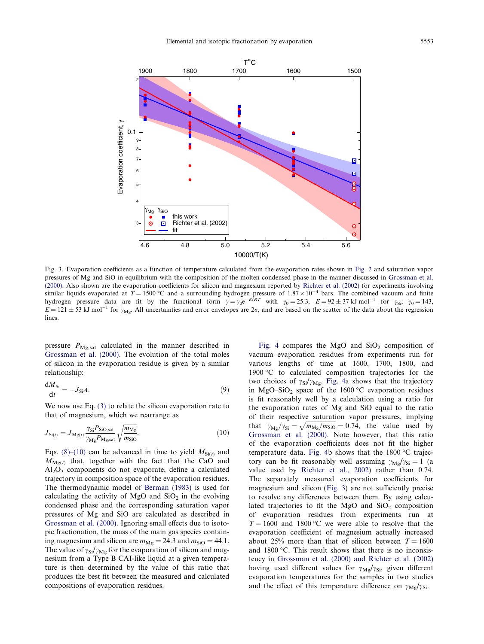<span id="page-9-0"></span>

Fig. 3. Evaporation coefficients as a function of temperature calculated from the evaporation rates shown in [Fig. 2](#page-8-0) and saturation vapor pressures of Mg and SiO in equilibrium with the composition of the molten condensed phase in the manner discussed in [Grossman et al.](#page-19-0) [\(2000\)](#page-19-0). Also shown are the evaporation coefficients for silicon and magnesium reported by [Richter et al. \(2002\)](#page-19-0) for experiments involving similar liquids evaporated at  $T = 1500 \degree C$  and a surrounding hydrogen pressure of  $1.87 \times 10^{-4}$  bars. The combined vacuum and finite hydrogen pressure data are fit by the functional form  $\gamma = \gamma_0 e^{-E/RT}$  with  $\gamma_0 = 25.3$ ,  $E = 92 \pm 37 \text{ kJ mol}^{-1}$  for  $\gamma_{Si}$ ;  $\gamma_0 = 143$ ,  $E = 121 \pm 53$  kJ mol<sup>-1</sup> for  $\gamma_{\text{Mg}}$ . All uncertainties and error envelopes are  $2\sigma$ , and are based on the scatter of the data about the regression lines.

pressure  $P_{\text{Mg,sat}}$  calculated in the manner described in [Grossman et al. \(2000\)](#page-19-0). The evolution of the total moles of silicon in the evaporation residue is given by a similar relationship:

$$
\frac{\mathrm{d}M_{\mathrm{Si}}}{\mathrm{d}t} = -J_{\mathrm{Si}}A.\tag{9}
$$

We now use Eq. [\(3\)](#page-2-0) to relate the silicon evaporation rate to that of magnesium, which we rearrange as

$$
J_{\text{Si}(t)} = J_{\text{Mg}(t)} \frac{\gamma_{\text{Si}} P_{\text{SiO,sat}}}{\gamma_{\text{Mg}} P_{\text{Mg,sat}}} \sqrt{\frac{m_{\text{Mg}}}{m_{\text{SiO}}}}.
$$
(10)

Eqs. [\(8\)–\(10\)](#page-8-0) can be advanced in time to yield  $M_{Si(t)}$  and  $M_{\text{Mg}(t)}$  that, together with the fact that the CaO and  $Al<sub>2</sub>O<sub>3</sub>$  components do not evaporate, define a calculated trajectory in composition space of the evaporation residues. The thermodynamic model of [Berman \(1983\)](#page-19-0) is used for calculating the activity of MgO and  $SiO<sub>2</sub>$  in the evolving condensed phase and the corresponding saturation vapor pressures of Mg and SiO are calculated as described in [Grossman et al. \(2000\)](#page-19-0). Ignoring small effects due to isotopic fractionation, the mass of the main gas species containing magnesium and silicon are  $m_{\text{Mg}} = 24.3$  and  $m_{\text{SiO}} = 44.1$ . The value of  $\gamma_{Si}/\gamma_{Mg}$  for the evaporation of silicon and magnesium from a Type B CAI-like liquid at a given temperature is then determined by the value of this ratio that produces the best fit between the measured and calculated compositions of evaporation residues.

[Fig. 4](#page-10-0) compares the MgO and  $SiO<sub>2</sub>$  composition of vacuum evaporation residues from experiments run for various lengths of time at 1600, 1700, 1800, and 1900 °C to calculated composition trajectories for the two choices of  $\gamma_{Si}/\gamma_{Mg}$ . [Fig. 4](#page-10-0)a shows that the trajectory in MgO–SiO<sub>2</sub> space of the 1600 °C evaporation residues is fit reasonably well by a calculation using a ratio for the evaporation rates of Mg and SiO equal to the ratio of their respective saturation vapor pressures, implying that  $\gamma_{\text{Mg}}/\gamma_{\text{Si}} = \sqrt{m_{\text{Mg}}/m_{\text{Si0}}} = 0.74$ , the value used by [Grossman et al. \(2000\)](#page-19-0). Note however, that this ratio of the evaporation coefficients does not fit the higher temperature data. [Fig. 4b](#page-10-0) shows that the  $1800\text{ °C}$  trajectory can be fit reasonably well assuming  $\gamma_{Mg}/\gamma_{Si} = 1$  (a value used by [Richter et al., 2002\)](#page-19-0) rather than 0.74. The separately measured evaporation coefficients for magnesium and silicon (Fig. 3) are not sufficiently precise to resolve any differences between them. By using calculated trajectories to fit the MgO and  $SiO<sub>2</sub>$  composition of evaporation residues from experiments run at  $T = 1600$  and 1800 °C we were able to resolve that the evaporation coefficient of magnesium actually increased about 25% more than that of silicon between  $T = 1600$ and  $1800$  °C. This result shows that there is no inconsistency in [Grossman et al. \(2000\) and Richter et al. \(2002\)](#page-19-0) having used different values for  $\gamma_{\text{Mg}}/\gamma_{\text{Si}}$ , given different evaporation temperatures for the samples in two studies and the effect of this temperature difference on  $\gamma_{\text{Mg}}/\gamma_{\text{Si}}$ .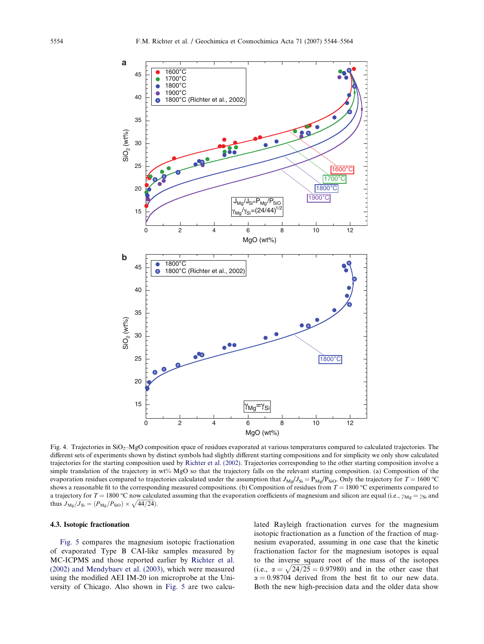<span id="page-10-0"></span>

Fig. 4. Trajectories in  $SiO<sub>2</sub>–MgO$  composition space of residues evaporated at various temperatures compared to calculated trajectories. The different sets of experiments shown by distinct symbols had slightly different starting compositions and for simplicity we only show calculated trajectories for the starting composition used by [Richter et al. \(2002\).](#page-19-0) Trajectories corresponding to the other starting composition involve a simple translation of the trajectory in wt% MgO so that the trajectory falls on the relevant starting composition. (a) Composition of the evaporation residues compared to trajectories calculated under the assumption that  $J_{\text{Mg}}/J_{\text{Si}} = P_{\text{Mg}}/P_{\text{SiO}}$ . Only the trajectory for  $T = 1600 \text{ °C}$ shows a reasonable fit to the corresponding measured compositions. (b) Composition of residues from  $T = 1800$  °C experiments compared to a trajectory for  $T = 1800 \degree C$  now calculated assuming that the evaporation coefficients of magnesium and silicon are equal (i.e.,  $\gamma_{Mg} = \gamma_{Si}$  and thus  $J_{\text{Mg}}/J_{\text{Si}} = (P_{\text{Mg}}/P_{\text{SiO}}) \times \sqrt{44/24}$ .

#### 4.3. Isotopic fractionation

[Fig. 5](#page-11-0) compares the magnesium isotopic fractionation of evaporated Type B CAI-like samples measured by MC-ICPMS and those reported earlier by [Richter et al.](#page-19-0) [\(2002\) and Mendybaev et al. \(2003\)](#page-19-0), which were measured using the modified AEI IM-20 ion microprobe at the University of Chicago. Also shown in [Fig. 5](#page-11-0) are two calculated Rayleigh fractionation curves for the magnesium isotopic fractionation as a function of the fraction of magnesium evaporated, assuming in one case that the kinetic fractionation factor for the magnesium isotopes is equal to the inverse square root of the mass of the isotopes (i.e.,  $\alpha = \sqrt{24/25} = 0.97980$ ) and in the other case that  $\alpha = 0.98704$  derived from the best fit to our new data. Both the new high-precision data and the older data show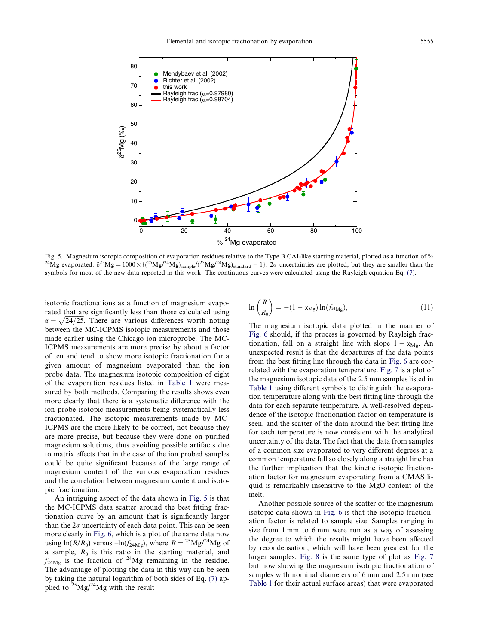<span id="page-11-0"></span>

Fig. 5. Magnesium isotopic composition of evaporation residues relative to the Type B CAI-like starting material, plotted as a function of % <sup>24</sup>Mg evaporated.  $\delta^{25}Mg = 1000 \times \{(25Mg)^{24}Mg)_{\text{sample}}/(\sqrt{25}Mg)^{24}Mg\}_{\text{slandard}} - 1$ . 2 $\sigma$  uncertainties are plotted, but they are smaller than the symbols for most of the new data reported in this work. The continuous curves were calculated using the Rayleigh equation Eq. [\(7\).](#page-2-0)

isotopic fractionations as a function of magnesium evaporated that are significantly less than those calculated using  $\alpha = \sqrt{24/25}$ . There are various differences worth noting between the MC-ICPMS isotopic measurements and those made earlier using the Chicago ion microprobe. The MC-ICPMS measurements are more precise by about a factor of ten and tend to show more isotopic fractionation for a given amount of magnesium evaporated than the ion probe data. The magnesium isotopic composition of eight of the evaporation residues listed in [Table 1](#page-5-0) were measured by both methods. Comparing the results shows even more clearly that there is a systematic difference with the ion probe isotopic measurements being systematically less fractionated. The isotopic measurements made by MC-ICPMS are the more likely to be correct, not because they are more precise, but because they were done on purified magnesium solutions, thus avoiding possible artifacts due to matrix effects that in the case of the ion probed samples could be quite significant because of the large range of magnesium content of the various evaporation residues and the correlation between magnesium content and isotopic fractionation.

An intriguing aspect of the data shown in Fig. 5 is that the MC-ICPMS data scatter around the best fitting fractionation curve by an amount that is significantly larger than the  $2\sigma$  uncertainty of each data point. This can be seen more clearly in [Fig. 6](#page-12-0), which is a plot of the same data now using  $ln(R/R_0)$  versus  $-ln(f_{24Mg})$ , where  $R = {}^{25}Mg/{}^{24}Mg$  of a sample,  $R_0$  is this ratio in the starting material, and  $f_{24Mg}$  is the fraction of <sup>24</sup>Mg remaining in the residue. The advantage of plotting the data in this way can be seen by taking the natural logarithm of both sides of Eq. [\(7\)](#page-2-0) applied to  $25$ Mg/ $^{24}$ Mg with the result

$$
\ln\left(\frac{R}{R_0}\right) = -(1 - \alpha_{\rm Mg}) \ln(f_{^{24}\rm Mg}),\tag{11}
$$

The magnesium isotopic data plotted in the manner of [Fig. 6](#page-12-0) should, if the process is governed by Rayleigh fractionation, fall on a straight line with slope  $1 - \alpha_{Mg}$ . An unexpected result is that the departures of the data points from the best fitting line through the data in [Fig. 6](#page-12-0) are correlated with the evaporation temperature. [Fig. 7](#page-12-0) is a plot of the magnesium isotopic data of the 2.5 mm samples listed in [Table 1](#page-5-0) using different symbols to distinguish the evaporation temperature along with the best fitting line through the data for each separate temperature. A well-resolved dependence of the isotopic fractionation factor on temperature is seen, and the scatter of the data around the best fitting line for each temperature is now consistent with the analytical uncertainty of the data. The fact that the data from samples of a common size evaporated to very different degrees at a common temperature fall so closely along a straight line has the further implication that the kinetic isotopic fractionation factor for magnesium evaporating from a CMAS liquid is remarkably insensitive to the MgO content of the melt.

Another possible source of the scatter of the magnesium isotopic data shown in [Fig. 6](#page-12-0) is that the isotopic fractionation factor is related to sample size. Samples ranging in size from 1 mm to 6 mm were run as a way of assessing the degree to which the results might have been affected by recondensation, which will have been greatest for the larger samples. [Fig. 8](#page-13-0) is the same type of plot as [Fig. 7](#page-12-0) but now showing the magnesium isotopic fractionation of samples with nominal diameters of 6 mm and 2.5 mm (see [Table 1](#page-5-0) for their actual surface areas) that were evaporated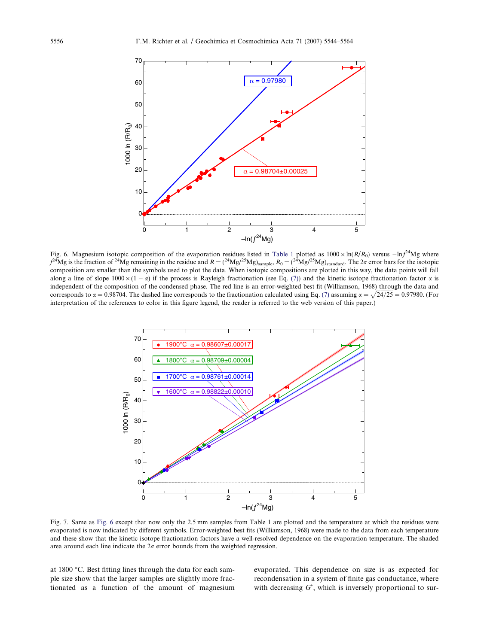<span id="page-12-0"></span>

Fig. 6. Magnesium isotopic composition of the evaporation residues listed in [Table 1](#page-5-0) plotted as  $1000 \times \ln(R/R_0)$  versus  $-\ln f^{24}$ Mg where  $f^{24}Mg$  is the fraction of <sup>24</sup>Mg remaining in the residue and  $R = ({}^{24}Mg/{}^{25}Mg)_{\rm sample}, R_0 = ({}^{24}Mg/{}^{25}Mg)_{\rm standard}$ . The 2 $\sigma$  error bars for the isotopic composition are smaller than the symbols used to plot the data. When isotopic compositions are plotted in this way, the data points will fall along a line of slope  $1000 \times (1 - \alpha)$  if the process is Rayleigh fractionation (see Eq. [\(7\)\)](#page-2-0) and the kinetic isotope fractionation factor  $\alpha$  is independent of the composition of the condensed phase. The red line is an error-weighted best fit (Williamson, 1968) through the data and corresponds to  $\alpha = 0.98704$ . The dashed line corresponds to the fractionation calculated using Eq. [\(7\)](#page-2-0) assuming  $\alpha = \sqrt{24/25} = 0.97980$ . (For interpretation of the references to color in this figure legend, the reader is referred to the web version of this paper.)



Fig. 7. Same as Fig. 6 except that now only the 2.5 mm samples from Table 1 are plotted and the temperature at which the residues were evaporated is now indicated by different symbols. Error-weighted best fits (Williamson, 1968) were made to the data from each temperature and these show that the kinetic isotope fractionation factors have a well-resolved dependence on the evaporation temperature. The shaded area around each line indicate the  $2\sigma$  error bounds from the weighted regression.

at 1800 °C. Best fitting lines through the data for each sample size show that the larger samples are slightly more fractionated as a function of the amount of magnesium evaporated. This dependence on size is as expected for recondensation in a system of finite gas conductance, where with decreasing  $G^*$ , which is inversely proportional to sur-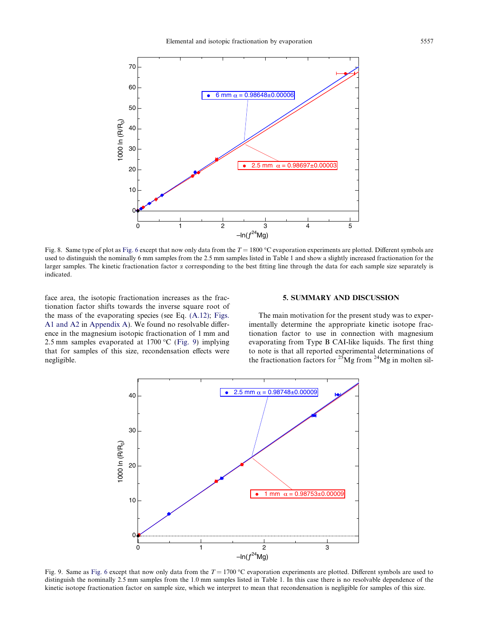<span id="page-13-0"></span>

Fig. 8. Same type of plot as [Fig. 6](#page-12-0) except that now only data from the  $T = 1800 \degree C$  evaporation experiments are plotted. Different symbols are used to distinguish the nominally 6 mm samples from the 2.5 mm samples listed in Table 1 and show a slightly increased fractionation for the larger samples. The kinetic fractionation factor  $\alpha$  corresponding to the best fitting line through the data for each sample size separately is indicated.

face area, the isotopic fractionation increases as the fractionation factor shifts towards the inverse square root of the mass of the evaporating species (see Eq. [\(A.12\);](#page-17-0) [Figs.](#page-18-0) [A1 and A2](#page-18-0) in Appendix A). We found no resolvable difference in the magnesium isotopic fractionation of 1 mm and 2.5 mm samples evaporated at  $1700 \degree C$  (Fig. 9) implying that for samples of this size, recondensation effects were negligible.

## 5. SUMMARY AND DISCUSSION

The main motivation for the present study was to experimentally determine the appropriate kinetic isotope fractionation factor to use in connection with magnesium evaporating from Type B CAI-like liquids. The first thing to note is that all reported experimental determinations of the fractionation factors for  $25$ Mg from  $24$ Mg in molten sil-



Fig. 9. Same as [Fig. 6](#page-12-0) except that now only data from the  $T = 1700 \degree C$  evaporation experiments are plotted. Different symbols are used to distinguish the nominally 2.5 mm samples from the 1.0 mm samples listed in Table 1. In this case there is no resolvable dependence of the kinetic isotope fractionation factor on sample size, which we interpret to mean that recondensation is negligible for samples of this size.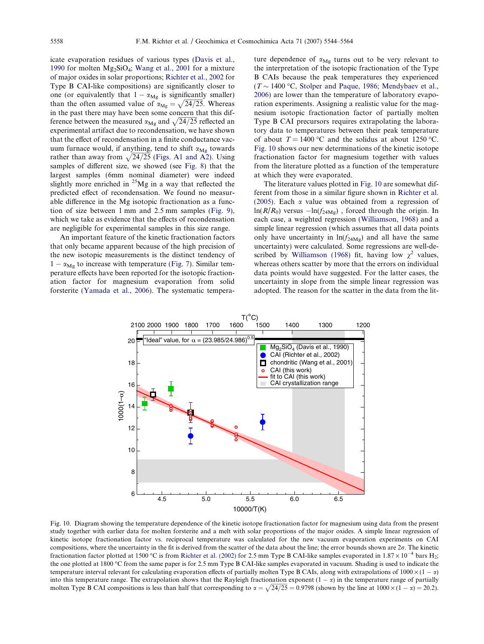<span id="page-14-0"></span>icate evaporation residues of various types ([Davis et al.,](#page-19-0) [1990](#page-19-0) for molten  $Mg_2SiO_4$ ; [Wang et al., 2001](#page-20-0) for a mixture of major oxides in solar proportions; [Richter et al., 2002](#page-19-0) for Type B CAI-like compositions) are significantly closer to one (or equivalently that  $1 - \alpha_{Mg}$  is significantly smaller) than the often assumed value of  $\alpha_{Mg} = \sqrt{24/25}$ . Whereas in the past there may have been some concern that this difference between the measured  $\alpha_{\text{Mg}}$  and  $\sqrt{24/25}$  reflected and experimental artifact due to recondensation, we have shown that the effect of recondensation in a finite conductance vacuum furnace would, if anything, tend to shift  $\alpha_{Mg}$  towards rather than away from  $\sqrt{24/25}$  ([Figs. A1 and A2\)](#page-18-0). Using samples of different size, we showed (see [Fig. 8](#page-13-0)) that the largest samples (6mm nominal diameter) were indeed slightly more enriched in  $^{25}Mg$  in a way that reflected the predicted effect of recondensation. We found no measurable difference in the Mg isotopic fractionation as a function of size between 1 mm and 2.5 mm samples ([Fig. 9\)](#page-13-0), which we take as evidence that the effects of recondensation are negligible for experimental samples in this size range.

An important feature of the kinetic fractionation factors that only became apparent because of the high precision of the new isotopic measurements is the distinct tendency of  $1 - \alpha_{\text{Mg}}$  to increase with temperature ([Fig. 7](#page-12-0)). Similar temperature effects have been reported for the isotopic fractionation factor for magnesium evaporation from solid forsterite [\(Yamada et al., 2006\)](#page-20-0). The systematic tempera-

ture dependence of  $\alpha_{\text{Mg}}$  turns out to be very relevant to the interpretation of the isotopic fractionation of the Type B CAIs because the peak temperatures they experienced  $(T \sim 1400 \degree C$ , [Stolper and Paque, 1986; Mendybaev et al.,](#page-19-0) [2006\)](#page-19-0) are lower than the temperature of laboratory evaporation experiments. Assigning a realistic value for the magnesium isotopic fractionation factor of partially molten Type B CAI precursors requires extrapolating the laboratory data to temperatures between their peak temperature of about  $T = 1400 \degree C$  and the solidus at about 1250 °C. Fig. 10 shows our new determinations of the kinetic isotope fractionation factor for magnesium together with values from the literature plotted as a function of the temperature at which they were evaporated.

The literature values plotted in Fig. 10 are somewhat different from those in a similar figure shown in [Richter et al.](#page-19-0) [\(2005\).](#page-19-0) Each  $\alpha$  value was obtained from a regression of  $ln(R/R_0)$  versus  $-ln(f_{24Mg})$ , forced through the origin. In each case, a weighted regression [\(Williamson, 1968\)](#page-20-0) and a simple linear regression (which assumes that all data points only have uncertainty in  $ln(f_{24Mg})$  and all have the same uncertainty) were calculated. Some regressions are well-de-scribed by [Williamson \(1968\)](#page-20-0) fit, having low  $\chi^2$  values, whereas others scatter by more that the errors on individual data points would have suggested. For the latter cases, the uncertainty in slope from the simple linear regression was adopted. The reason for the scatter in the data from the lit-



Fig. 10. Diagram showing the temperature dependence of the kinetic isotope fractionation factor for magnesium using data from the present study together with earlier data for molten forsterite and a melt with solar proportions of the major oxides. A simple linear regression of kinetic isotope fractionation factor vs. reciprocal temperature was calculated for the new vacuum evaporation experiments on CAI compositions, where the uncertainty in the fit is derived from the scatter of the data about the line; the error bounds shown are  $2\sigma$ . The kinetic fractionation factor plotted at 1500 °C is from [Richter et al. \(2002\)](#page-19-0) for 2.5 mm Type B CAI-like samples evaporated in  $1.87 \times 10^{-4}$  bars H<sub>2</sub>; the one plotted at 1800 °C from the same paper is for 2.5 mm Type B CAI-like samples evaporated in vacuum. Shading is used to indicate the temperature interval relevant for calculating evaporation effects of partially molten Type B CAIs, along with extrapolations of  $1000 \times (1 - \alpha)$ into this temperature range. The extrapolation shows that the Rayleigh fractionation exponent  $(1 - \alpha)$  in the temperature range of partially molten Type B CAI compositions is less than half that corresponding to  $\alpha = \sqrt{24/25} = 0.9798$  (shown by the line at  $1000 \times (1 - \alpha) = 20.2$ ).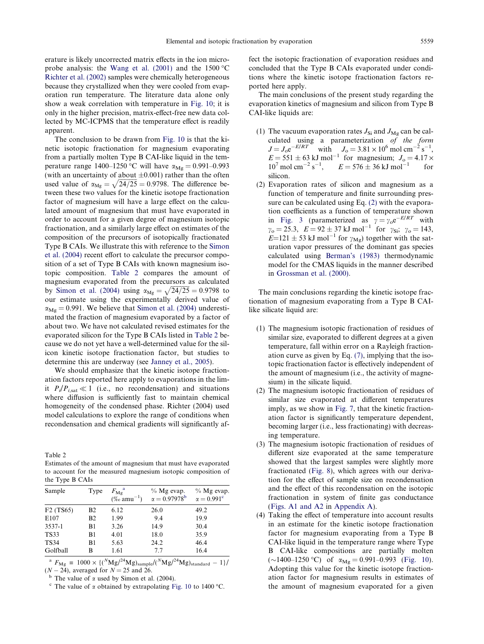erature is likely uncorrected matrix effects in the ion microprobe analysis: the Wang et al.  $(2001)$  and the 1500 °C [Richter et al. \(2002\)](#page-19-0) samples were chemically heterogeneous because they crystallized when they were cooled from evaporation run temperature. The literature data alone only show a weak correlation with temperature in [Fig. 10](#page-14-0); it is only in the higher precision, matrix-effect-free new data collected by MC-ICPMS that the temperature effect is readily apparent.

The conclusion to be drawn from [Fig. 10](#page-14-0) is that the kinetic isotopic fractionation for magnesium evaporating from a partially molten Type B CAI-like liquid in the temperature range  $1400-1250$  °C will have  $\alpha_{Mg} = 0.991-0.993$ (with an uncertainty of about  $\pm 0.001$ ) rather than the often used value of  $\alpha_{Mg} = \sqrt{24/25} = 0.9798$ . The difference between these two values for the kinetic isotope fractionation factor of magnesium will have a large effect on the calculated amount of magnesium that must have evaporated in order to account for a given degree of magnesium isotopic fractionation, and a similarly large effect on estimates of the composition of the precursors of isotopically fractionated Type B CAIs. We illustrate this with reference to the [Simon](#page-19-0) [et al. \(2004\)](#page-19-0) recent effort to calculate the precursor composition of a set of Type B CAIs with known magnesium isotopic composition. Table 2 compares the amount of magnesium evaporated from the precursors as calculated by [Simon et al. \(2004\)](#page-19-0) using  $\alpha_{\text{Mg}} = \sqrt{24/25} = 0.9798$  to our estimate using the experimentally derived value of  $\alpha_{\text{Mg}} = 0.991$ . We believe that [Simon et al. \(2004\)](#page-19-0) underestimated the fraction of magnesium evaporated by a factor of about two. We have not calculated revised estimates for the evaporated silicon for the Type B CAIs listed in Table 2 because we do not yet have a well-determined value for the silicon kinetic isotope fractionation factor, but studies to determine this are underway (see [Janney et al., 2005](#page-19-0)).

We should emphasize that the kinetic isotope fractionation factors reported here apply to evaporations in the limit  $P_i/P_{i, \text{sat}} \ll 1$  (i.e., no recondensation) and situations where diffusion is sufficiently fast to maintain chemical homogeneity of the condensed phase. Richter (2004) used model calculations to explore the range of conditions when recondensation and chemical gradients will significantly af-

Table 2

Estimates of the amount of magnesium that must have evaporated to account for the measured magnesium isotopic composition of the Type B CAIs

| Sample                             | Type       | $F_{\rm Mg}^{\rm a}$<br>$(\%$ amu <sup>-1</sup> ) | $%$ Mg evap.<br>$\alpha = 0.97978^{\rm b}$ | $%$ Mg evap.<br>$\alpha = 0.991^{\circ}$ |
|------------------------------------|------------|---------------------------------------------------|--------------------------------------------|------------------------------------------|
| F <sub>2</sub> (TS <sub>65</sub> ) | <b>B</b> 2 | 6.12                                              | 26.0                                       | 49.2                                     |
| E107                               | <b>B</b> 2 | 1.99                                              | 9.4                                        | 19.9                                     |
| 3537-1                             | B1         | 3.26                                              | 14.9                                       | 30.4                                     |
| <b>TS33</b>                        | B1         | 4.01                                              | 18.0                                       | 35.9                                     |
| <b>TS34</b>                        | B1         | 5.63                                              | 24.2                                       | 46.4                                     |
| Golfball                           | B          | 1.61                                              | 7.7                                        | 16.4                                     |
|                                    |            |                                                   |                                            |                                          |

 $^{\rm a}$   $F_{\rm Mg}$  = 1000  $\times$  {(<sup>N</sup>Mg/<sup>24</sup>Mg)<sub>sample</sub>/(<sup>N</sup>Mg/<sup>24</sup>Mg)<sub>standard</sub> - 1}/  $(N-24)$ , averaged for  $N = 25$  and 26.

<sup>b</sup> The value of  $\alpha$  used by Simon et al. (2004).<br><sup>c</sup> The value of  $\alpha$  obtained by extrapolating [Fig. 10](#page-14-0) to 1400 <sup>o</sup> <sup>c</sup> The value of  $\alpha$  obtained by extrapolating Fig. 10 to 1400 °C. fect the isotopic fractionation of evaporation residues and concluded that the Type B CAIs evaporated under conditions where the kinetic isotope fractionation factors reported here apply.

The main conclusions of the present study regarding the evaporation kinetics of magnesium and silicon from Type B CAI-like liquids are:

- (1) The vacuum evaporation rates  $J_{\text{Si}}$  and  $J_{\text{Mg}}$  can be calculated using a parameterization of the form  $J = J_0 e^{-E/RT}$  with  $J_0 = 3.81 \times 10^6$  mol cm<sup>-2</sup> s<sup>-1</sup>,  $E = 551 \pm 63$  kJ mol<sup>-1</sup> for magnesium;  $J_0 = 4.17 \times$  $10^7 \text{ mol cm}^{-2} \text{ s}^{-1}$ ,  $E = 576 \pm 36 \text{ kJ mol}^{-1}$  $1$  for silicon.
- (2) Evaporation rates of silicon and magnesium as a function of temperature and finite surrounding pressure can be calculated using Eq. [\(2\)](#page-2-0) with the evaporation coefficients as a function of temperature shown in [Fig. 3](#page-9-0) (parameterized as  $\gamma = \gamma_0 e^{-E/RT}$  with  $\gamma_o = 25.3$ ,  $E = 92 \pm 37 \text{ kJ} \text{ mol}^{-1}$  for  $\gamma_{\text{Si}}$ ;  $\gamma_o = 143$ ,  $E=121 \pm 53$  kJ mol<sup>-1</sup> for  $\gamma_{\text{Mg}}$ ) together with the saturation vapor pressures of the dominant gas species calculated using [Berman's \(1983\)](#page-19-0) thermodynamic model for the CMAS liquids in the manner described in [Grossman et al. \(2000\)](#page-19-0).

The main conclusions regarding the kinetic isotope fractionation of magnesium evaporating from a Type B CAIlike silicate liquid are:

- (1) The magnesium isotopic fractionation of residues of similar size, evaporated to different degrees at a given temperature, fall within error on a Rayleigh fractionation curve as given by Eq. [\(7\),](#page-2-0) implying that the isotopic fractionation factor is effectively independent of the amount of magnesium (i.e., the activity of magnesium) in the silicate liquid.
- (2) The magnesium isotopic fractionation of residues of similar size evaporated at different temperatures imply, as we show in [Fig. 7,](#page-12-0) that the kinetic fractionation factor is significantly temperature dependent, becoming larger (i.e., less fractionating) with decreasing temperature.
- (3) The magnesium isotopic fractionation of residues of different size evaporated at the same temperature showed that the largest samples were slightly more fractionated [\(Fig. 8\)](#page-13-0), which agrees with our derivation for the effect of sample size on recondensation and the effect of this recondensation on the isotopic fractionation in system of finite gas conductance [\(Figs. A1 and A2](#page-18-0) in Appendix A).
- (4) Taking the effect of temperature into account results in an estimate for the kinetic isotope fractionation factor for magnesium evaporating from a Type B CAI-like liquid in the temperature range where Type B CAI-like compositions are partially molten  $(\sim)1400-1250$  °C) of  $\alpha_{Mg} = 0.991-0.993$  [\(Fig. 10](#page-14-0)). Adopting this value for the kinetic isotope fractionation factor for magnesium results in estimates of the amount of magnesium evaporated for a given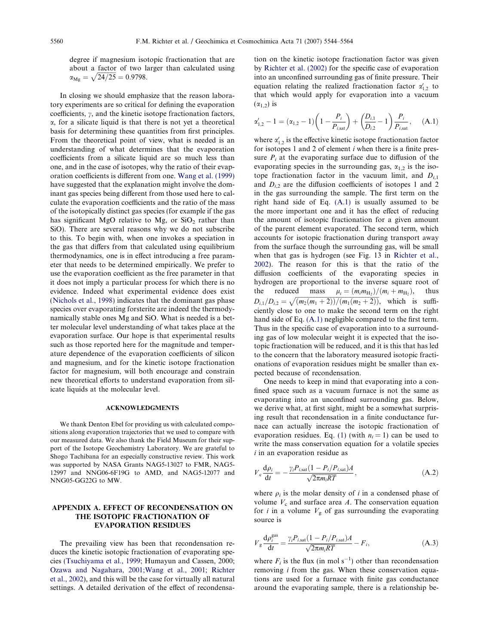<span id="page-16-0"></span>degree if magnesium isotopic fractionation that are about a factor of two larger than calculated using  $\alpha_{\text{Mg}} = \sqrt{24/25} = 0.9798.$ 

In closing we should emphasize that the reason laboratory experiments are so critical for defining the evaporation coefficients,  $\gamma$ , and the kinetic isotope fractionation factors,  $\alpha$ , for a silicate liquid is that there is not yet a theoretical basis for determining these quantities from first principles. From the theoretical point of view, what is needed is an understanding of what determines that the evaporation coefficients from a silicate liquid are so much less than one, and in the case of isotopes, why the ratio of their evaporation coefficients is different from one. [Wang et al. \(1999\)](#page-20-0) have suggested that the explanation might involve the dominant gas species being different from those used here to calculate the evaporation coefficients and the ratio of the mass of the isotopically distinct gas species (for example if the gas has significant MgO relative to Mg, or  $SiO<sub>2</sub>$  rather than SiO). There are several reasons why we do not subscribe to this. To begin with, when one invokes a speciation in the gas that differs from that calculated using equilibrium thermodynamics, one is in effect introducing a free parameter that needs to be determined empirically. We prefer to use the evaporation coefficient as the free parameter in that it does not imply a particular process for which there is no evidence. Indeed what experimental evidence does exist ([Nichols et al., 1998\)](#page-19-0) indicates that the dominant gas phase species over evaporating forsterite are indeed the thermodynamically stable ones Mg and SiO. What is needed is a better molecular level understanding of what takes place at the evaporation surface. Our hope is that experimental results such as those reported here for the magnitude and temperature dependence of the evaporation coefficients of silicon and magnesium, and for the kinetic isotope fractionation factor for magnesium, will both encourage and constrain new theoretical efforts to understand evaporation from silicate liquids at the molecular level.

#### ACKNOWLEDGMENTS

We thank Denton Ebel for providing us with calculated compositions along evaporation trajectories that we used to compare with our measured data. We also thank the Field Museum for their support of the Isotope Geochemistry Laboratory. We are grateful to Shogo Tachibana for an especially constructive review. This work was supported by NASA Grants NAG5-13027 to FMR, NAG5- 12997 and NNG06-6F19G to AMD, and NAG5-12077 and NNG05-GG22G to MW.

# APPENDIX A. EFFECT OF RECONDENSATION ON THE ISOTOPIC FRACTIONATION OF EVAPORATION RESIDUES

The prevailing view has been that recondensation reduces the kinetic isotopic fractionation of evaporating species [\(Tsuchiyama et al., 1999;](#page-19-0) Humayun and Cassen, 2000; [Ozawa and Nagahara, 2001;Wang et al., 2001; Richter](#page-19-0) [et al., 2002\)](#page-19-0), and this will be the case for virtually all natural settings. A detailed derivation of the effect of recondensa-

tion on the kinetic isotope fractionation factor was given by [Richter et al. \(2002\)](#page-19-0) for the specific case of evaporation into an unconfined surrounding gas of finite pressure. Their equation relating the realized fractionation factor  $\alpha'_{1,2}$  to that which would apply for evaporation into a vacuum  $(\alpha_{1,2})$  is

$$
\alpha'_{1,2} - 1 = (\alpha_{1,2} - 1) \left( 1 - \frac{P_i}{P_{i,\text{sat}}} \right) + \left( \frac{D_{i,1}}{D_{i,2}} - 1 \right) \frac{P_i}{P_{i,\text{sat}}}, \quad (A.1)
$$

where  $\alpha'_{1,2}$  is the effective kinetic isotope fractionation factor for isotopes 1 and 2 of element i when there is a finite pressure  $P_i$  at the evaporating surface due to diffusion of the evaporating species in the surrounding gas,  $\alpha_{1,2}$  is the isotope fractionation factor in the vacuum limit, and  $D_{i,1}$ and  $D_{i,2}$  are the diffusion coefficients of isotopes 1 and 2 in the gas surrounding the sample. The first term on the right hand side of Eq. (A.1) is usually assumed to be the more important one and it has the effect of reducing the amount of isotopic fractionation for a given amount of the parent element evaporated. The second term, which accounts for isotopic fractionation during transport away from the surface though the surrounding gas, will be small when that gas is hydrogen (see Fig. 13 in [Richter et al.,](#page-19-0) [2002\)](#page-19-0). The reason for this is that the ratio of the diffusion coefficients of the evaporating species in hydrogen are proportional to the inverse square root of the reduced mass  $\mu_i = (m_i m_{\text{H}_2})/(m_i + m_{\text{H}_2})$ , thus  $D_{i,1}/D_{i,2} = \sqrt{\frac{m_2(m_1+2)}{m_1(m_2+2)} + \frac{m_1(m_2+2)}{m_2(m_1+2)}}$ , which is sufficiently close to one to make the second term on the right hand side of Eq. (A.1) negligible compared to the first term. Thus in the specific case of evaporation into to a surrounding gas of low molecular weight it is expected that the isotopic fractionation will be reduced, and it is this that has led to the concern that the laboratory measured isotopic fractionations of evaporation residues might be smaller than expected because of recondensation.

One needs to keep in mind that evaporating into a confined space such as a vacuum furnace is not the same as evaporating into an unconfined surrounding gas. Below, we derive what, at first sight, might be a somewhat surprising result that recondensation in a finite conductance furnace can actually increase the isotopic fractionation of evaporation residues. Eq. [\(1\)](#page-2-0) (with  $n<sub>i</sub> = 1$ ) can be used to write the mass conservation equation for a volatile species  $i$  in an evaporation residue as

$$
V_c \frac{d\rho_i}{dt} = -\frac{\gamma_i P_{i,\text{sat}} (1 - P_i/P_{i,\text{sat}})A}{\sqrt{2\pi m_i RT}},
$$
\n(A.2)

where  $\rho_i$  is the molar density of i in a condensed phase of volume  $V_c$  and surface area A. The conservation equation for *i* in a volume  $V_g$  of gas surrounding the evaporating source is

$$
V_{\rm g} \frac{\mathrm{d}\rho_i^{\rm gas}}{\mathrm{d}t} = \frac{\gamma_i P_{i,\rm sat} (1 - P_i / P_{i,\rm sat}) A}{\sqrt{2\pi m_i RT}} - F_i,\tag{A.3}
$$

where  $F_i$  is the flux (in mol s<sup>-1</sup>) other than recondensation removing i from the gas. When these conservation equations are used for a furnace with finite gas conductance around the evaporating sample, there is a relationship be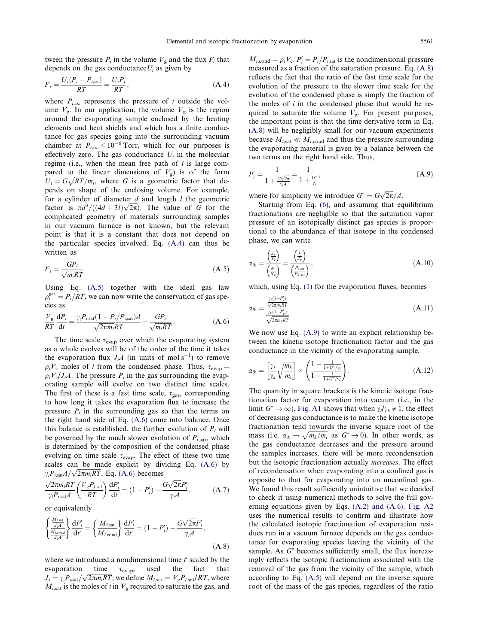<span id="page-17-0"></span>tween the pressure  $P_i$  in the volume  $V_g$  and the flux  $F_i$  that depends on the gas conductance $U_i$  as given by

$$
F_i = \frac{U_i(P_i - P_{i,\infty})}{RT} = \frac{U_i P_i}{RT},
$$
\n(A.4)

where  $P_{i,\infty}$  represents the pressure of i outside the volume  $V_g$ . In our application, the volume  $V_g$  is the region around the evaporating sample enclosed by the heating elements and heat shields and which has a finite conductance for gas species going into the surrounding vacuum chamber at  $P_{i,\infty}$  < 10<sup>-6</sup> Torr, which for our purposes is effectively zero. The gas conductance  $U_i$  in the molecular regime (i.e., when the mean free path of  $i$  is large compared to the linear dimensions of  $V_g$ ) is of the form  $U_i = G\sqrt{RT/m_i}$ , where G is a geometric factor that depends on shape of the enclosing volume. For example, for a cylinder of diameter  $d$  and length  $l$  the geometric for a cynneer of diameter *a* and length *t* the geometric factor is  $\pi d^3/((4d+3l)\sqrt{2\pi})$ . The value of *G* for the complicated geometry of materials surrounding samples in our vacuum furnace is not known, but the relevant point is that it is a constant that does not depend on the particular species involved. Eq. (A.4) can thus be written as

$$
F_i = \frac{GP_i}{\sqrt{m_i RT}}\tag{A.5}
$$

Using Eq. (A.5) together with the ideal gas law  $\rho_i^{\text{gas}} = P_i / RT$ , we can now write the conservation of gas species as

$$
\frac{V_{\rm g}}{RT} \frac{\mathrm{d}P_i}{\mathrm{d}t} = \frac{\gamma_i P_{i,\rm sat} (1 - P_i / P_{i,\rm sat}) A}{\sqrt{2\pi m_i RT}} - \frac{GP_i}{\sqrt{m_i RT}}.\tag{A.6}
$$

The time scale  $\tau_{evap}$  over which the evaporating system as a whole evolves will be of the order of the time it takes the evaporation flux  $J_iA$  (in units of mol s<sup>-1</sup>) to remove  $\rho_i V_c$  moles of *i* from the condensed phase. Thus,  $\tau_{evap} =$  $\rho_i V_c / J_i A$ . The pressure  $P_i$  in the gas surrounding the evaporating sample will evolve on two distinct time scales. The first of these is a fast time scale,  $\tau_{\text{gas}}$ , corresponding to how long it takes the evaporation flux to increase the pressure  $P_i$  in the surrounding gas so that the terms on the right hand side of Eq. (A.6) come into balance. Once this balance is established, the further evolution of  $P_i$  will be governed by the much slower evolution of  $P_{i, \text{sat}}$ , which is determined by the composition of the condensed phase evolving on time scale  $\tau_{evap}$ . The effect of these two time scales can be made explicit by dividing Eq. (A.6) by scates can be made explicit by div<br>  $\gamma_i P_{i, \text{sat}} A / \sqrt{2\pi m_i RT}}$ . Eq. (A.6) becomes

$$
\frac{\sqrt{2\pi m_i RT}}{\gamma_i P_{i,\text{sat}}A} \left(\frac{V_g P_{i,\text{sat}}}{RT}\right) \frac{\mathrm{d}P_i'}{\mathrm{d}t} = (1 - P_i') - \frac{G\sqrt{2\pi}P_i'}{\gamma_i A},\tag{A.7}
$$

or equivalently

$$
\left\{\frac{\frac{M_{i,\text{sat}}}{J_{i}A}}{\frac{M_{i,\text{cond}}}{J_{i}A}}\right\}\frac{\mathrm{d}P'_{i}}{\mathrm{d}t'} = \left\{\frac{M_{i,\text{sat}}}{M_{i,\text{cond}}}\right\}\frac{\mathrm{d}P'_{i}}{\mathrm{d}t'} = \left(1 - P'_{i}\right) - \frac{G\sqrt{2\pi}P'_{i}}{\gamma_{i}A},\tag{A.8}
$$

where we introduced a nondimensional time  $t'$  scaled by the evaporation time  $\tau_{evap}$ , used the fact that  $J_i = \gamma_i P_{i, \text{sat}} / \sqrt{2\pi m_i RT}$ ; we define  $M_{i, \text{sat}} = V_g P_{i, \text{sat}} / RT$ , where  $M_{i, \text{sat}}$  is the moles of i in  $V_{\text{g}}$  required to saturate the gas, and

 $M_{i,\text{cond}} = \rho_i V_c$ .  $P'_i = P_i / P_{i,\text{sat}}$  is the nondimensional pressure measured as a fraction of the saturation pressure. Eq. (A.8) reflects the fact that the ratio of the fast time scale for the evolution of the pressure to the slower time scale for the evolution of the condensed phase is simply the fraction of the moles of  $i$  in the condensed phase that would be required to saturate the volume  $V_g$ . For present purposes, the important point is that the time derivative term in Eq. (A.8) will be negligibly small for our vacuum experiments because  $M_{i,\text{sat}} \ll M_{i,\text{cond}}$  and thus the pressure surrounding the evaporating material is given by a balance between the two terms on the right hand side. Thus,

$$
P'_{i} = \frac{1}{1 + \frac{G\sqrt{2\pi}}{\gamma_{i}A}} = \frac{1}{1 + \frac{G^{*}}{\gamma_{i}}},
$$
(A.9)

where for simplicity we introduce  $G^* = G\sqrt{2\pi}/A$ .

Starting from Eq. [\(6\)](#page-2-0), and assuming that equilibrium fractionations are negligible so that the saturation vapor pressure of an isotopically distinct gas species is proportional to the abundance of that isotope in the condensed phase, we can write

$$
\alpha_{ik} = \frac{\left(\frac{J_i}{J_k}\right)}{\left(\frac{N_i}{N_k}\right)} = \frac{\left(\frac{J_i}{J_k}\right)}{\left(\frac{P_{i,\text{sat}}}{P_{k,\text{sat}}}\right)},\tag{A.10}
$$

which, using Eq. [\(1\)](#page-2-0) for the evaporation fluxes, becomes

$$
\alpha_{ik} = \frac{\frac{\gamma_i (1 - P'_i)}{\sqrt{2\pi m_i RT}}}{\frac{\gamma_k (1 - P'_k)}{\sqrt{2\pi m_k RT}}}
$$
(A.11)

We now use Eq.  $(A.9)$  to write an explicit relationship between the kinetic isotope fractionation factor and the gas conductance in the vicinity of the evaporating sample,

$$
\alpha_{ik} = \left[\frac{\gamma_i}{\gamma_k} \sqrt{\frac{m_k}{m_i}}\right] \times \left(\frac{1 - \frac{1}{1 + G^* / \gamma_i}}{1 - \frac{1}{1 + G^* / \gamma_k}}\right).
$$
\n(A.12)

The quantity in square brackets is the kinetic isotope fractionation factor for evaporation into vacuum (i.e., in the limit  $G^* \to \infty$ ). [Fig. A1](#page-18-0) shows that when  $\gamma_i/\gamma_k \neq 1$ , the effect of decreasing gas conductance is to make the kinetic isotope fractionation tend towards the inverse square root of the mass (i.e.  $\alpha_{ik} \rightarrow \sqrt{m_k/m_i}$  as  $G^* \rightarrow 0$ ). In other words, as the gas conductance decreases and the pressure around the samples increases, there will be more recondensation but the isotopic fractionation actually increases. The effect of recondensation when evaporating into a confined gas is opposite to that for evaporating into an unconfined gas. We found this result sufficiently unintuitive that we decided to check it using numerical methods to solve the full governing equations given by Eqs. [\(A.2\) and \(A.6\)](#page-16-0). [Fig. A2](#page-18-0) uses the numerical results to confirm and illustrate how the calculated isotopic fractionation of evaporation residues run in a vacuum furnace depends on the gas conductance for evaporating species leaving the vicinity of the sample. As  $G^*$  becomes sufficiently small, the flux increasingly reflects the isotopic fractionation associated with the removal of the gas from the vicinity of the sample, which according to Eq. (A.5) will depend on the inverse square root of the mass of the gas species, regardless of the ratio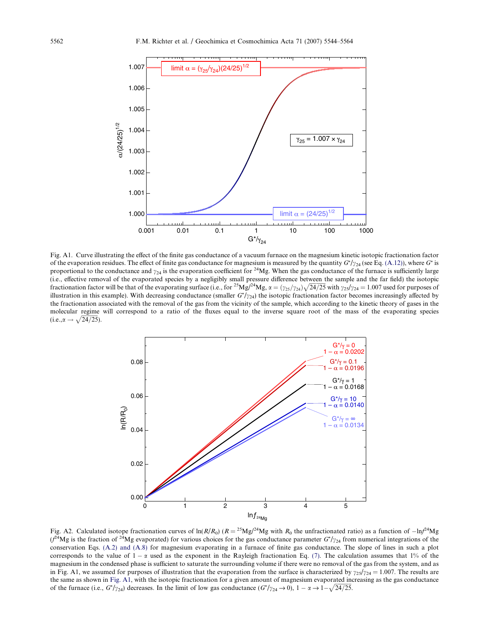<span id="page-18-0"></span>

Fig. A1. Curve illustrating the effect of the finite gas conductance of a vacuum furnace on the magnesium kinetic isotopic fractionation factor of the evaporation residues. The effect of finite gas conductance for magnesium is measured by the quantity  $G^*/\gamma_{24}$  (see Eq. [\(A.12\)\)](#page-17-0), where G<sup>\*</sup> is proportional to the conductance and  $\gamma_{24}$  is the evaporation coefficient for <sup>24</sup>Mg. When the gas conductance of the furnace is sufficiently large (i.e., effective removal of the evaporated species by a negligibly small pressure difference between the sample and the far field) the isotopic<br>fractionation factor will be that of the evaporating surface (i.e., for <sup>25</sup>M illustration in this example). With decreasing conductance (smaller  $G^*/\gamma_{24}$ ) the isotopic fractionation factor becomes increasingly affected by the fractionation associated with the removal of the gas from the vicinity of the sample, which according to the kinetic theory of gases in the molecular regime will correspond to a ratio of the fluxes equal to the inverse square root of the mass of the evaporating species (i.e., $\alpha \rightarrow \sqrt{24/25}$ ).



Fig. A2. Calculated isotope fractionation curves of  $\ln(R/R_0)$  ( $R = {}^{25}Mg/{}^{24}Mg$  with  $R_0$  the unfractionated ratio) as a function of  $-\ln f^2{}^{4}Mg$  $(\ell^{24}Mg)$  is the fraction of <sup>24</sup>Mg evaporated) for various choices for the gas conductance parameter  $G^*/\gamma_{24}$  from numerical integrations of the conservation Eqs. [\(A.2\) and \(A.8\)](#page-16-0) for magnesium evaporating in a furnace of finite gas conductance. The slope of lines in such a plot corresponds to the value of  $1 - \alpha$  used as the exponent in the Rayleigh fractionation Eq. [\(7\)](#page-2-0). The calculation assumes that 1% of the magnesium in the condensed phase is sufficient to saturate the surrounding volume if there were no removal of the gas from the system, and as in Fig. A1, we assumed for purposes of illustration that the evaporation from the surface is characterized by  $\gamma_{25}/\gamma_{24} = 1.007$ . The results are the same as shown in Fig. A1, with the isotopic fractionation for a given amount of magnesium evaporated increasing as the gas conductance of the furnace (i.e.,  $G^*/\gamma_{24}$ ) decreases. In the limit of low gas conductance  $(G^*/\gamma_{24} \rightarrow 0)$ ,  $1 - \alpha \rightarrow 1 - \sqrt{24/25}$ .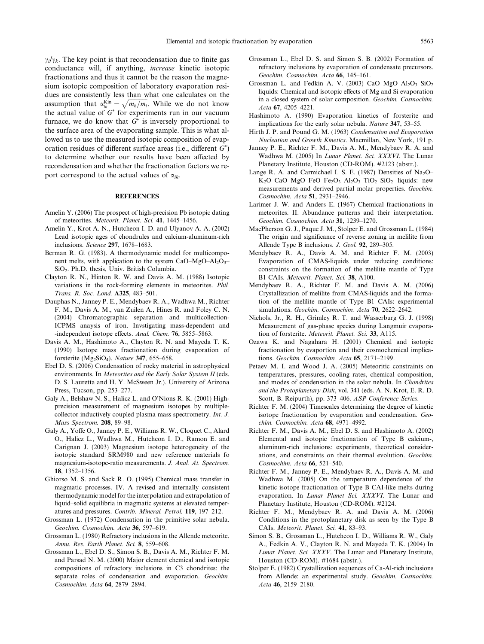<span id="page-19-0"></span> $\gamma_i/\gamma_k$ . The key point is that recondensation due to finite gas conductance will, if anything, increase kinetic isotopic fractionations and thus it cannot be the reason the magnesium isotopic composition of laboratory evaporation residues are consistently less than what one calculates on the assumption that  $\alpha_{ik}^{kin} = \sqrt{m_k/m_i}$ . While we do not know the actual value of  $G^*$  for experiments run in our vacuum furnace, we do know that  $G^*$  is inversely proportional to the surface area of the evaporating sample. This is what allowed us to use the measured isotopic composition of evaporation residues of different surface areas (i.e., different  $G^*$ ) to determine whether our results have been affected by recondensation and whether the fractionation factors we report correspond to the actual values of  $\alpha_{ik}$ .

# **REFERENCES**

- Amelin Y. (2006) The prospect of high-precision Pb isotopic dating of meteorites. Meteorit. Planet. Sci. 41, 1445–1456.
- Amelin Y., Krot A. N., Hutcheon I. D. and Ulyanov A. A. (2002) Lead isotopic ages of chondrules and calcium-aluminum-rich inclusions. Science 297, 1678–1683.
- Berman R. G. (1983). A thermodynamic model for multicomponent melts, with application to the system CaO–MgO–Al<sub>2</sub>O<sub>3</sub>– SiO2. Ph.D. thesis, Univ. British Columbia.
- Clayton R. N., Hinton R. W. and Davis A. M. (1988) Isotopic variations in the rock-forming elements in meteorites. Phil. Trans. R. Soc. Lond. A325, 483–501.
- Dauphas N., Janney P. E., Mendybaev R. A., Wadhwa M., Richter F. M., Davis A. M., van Zuilen A., Hines R. and Foley C. N. (2004) Chromatographic separation and multicollection-ICPMS anaysis of iron. Invstigating mass-dependent and -independent isotope effects. Anal. Chem. 76, 5855-5863.
- Davis A. M., Hashimoto A., Clayton R. N. and Mayeda T. K. (1990) Isotope mass fractionation during evaporation of forsterite ( $Mg_2SiO_4$ ). Nature 347, 655–658.
- Ebel D. S. (2006) Condensation of rocky material in astrophysical environments. In Meteorites and the Early Solar System II (eds. D. S. Lauretta and H. Y. McSween Jr.). University of Arizona Press, Tucson, pp. 253–277.
- Galy A., Belshaw N. S., Halicz L. and O'Nions R. K. (2001) Highprecision measurement of magnesium isotopes by multiplecollector inductively coupled plasma mass spectrometry. Int. J. Mass Spectrom. 208, 89–98.
- Galy A., Yoffe O., Janney P. E., Williams R. W., Cloquet C., Alard O., Halicz L., Wadhwa M., Hutcheon I. D., Ramon E. and Carignan J. (2003) Magnesium isotope heterogeneity of the isotopic standard SRM980 and new reference materials fo magnesium-isotope-ratio measurements. J. Anal. At. Spectrom. 18, 1352–1356.
- Ghiorso M. S. and Sack R. O. (1995) Chemical mass transfer in magmatic processes. IV. A revised and internally consistent thermodynamic model for the interpolation and extrapolation of liquid–solid equilibria in magmatic systems at elevated temperatures and pressures. Contrib. Mineral. Petrol. 119, 197–212.
- Grossman L. (1972) Condensation in the primitive solar nebula. Geochim. Cosmochim. Acta 36, 597–619.
- Grossman L. (1980) Refractory inclusions in the Allende meteorite. Annu. Rev. Earth Planet. Sci. 8, 559–608.
- Grossman L., Ebel D. S., Simon S. B., Davis A. M., Richter F. M. and Parsad N. M. (2000) Major element chemical and isotopic compositions of refractory inclusions in C3 chondrites: the separate roles of condensation and evaporation. Geochim. Cosmochim. Acta 64, 2879–2894.
- Grossman L., Ebel D. S. and Simon S. B. (2002) Formation of refractory inclusions by evaporation of condensate precursors. Geochim. Cosmochim. Acta 66, 145–161.
- Grossman L. and Fedkin A. V. (2003) CaO–MgO–Al<sub>2</sub>O<sub>3</sub>–SiO<sub>2</sub> liquids: Chemical and isotopic effects of Mg and Si evaporation in a closed system of solar composition. Geochim. Cosmochim. Acta 67, 4205–4221.
- Hashimoto A. (1990) Evaporation kinetics of forsterite and implications for the early solar nebula. Nature 347, 53–55.
- Hirth J. P. and Pound G. M. (1963) Condensation and Evaporation Nucleation and Growth Kinetics. Macmillan, New York, 191 p.
- Janney P. E., Richter F. M., Davis A. M., Mendybaev R. A. and Wadhwa M. (2005) In Lunar Planet. Sci. XXXVI. The Lunar Planetary Institute, Houston (CD-ROM). #2123 (abstr.).
- Lange R. A. and Carmichael I. S. E. (1987) Densities of  $Na<sub>2</sub>O-$ K<sub>2</sub>O–CaO–MgO–FeO–Fe<sub>2</sub>O<sub>3</sub>–Al<sub>2</sub>O<sub>3</sub>–TiO<sub>2</sub>–SiO<sub>2</sub> liquids: new measurements and derived partial molar properties. Geochim. Cosmochim. Acta 51, 2931–2946.
- Larimer J. W. and Anders E. (1967) Chemical fractionations in meteorites. II. Abundance patterns and their interpretation. Geochim. Cosmochim. Acta 31, 1239–1270.
- MacPherson G. J., Paque J. M., Stolper E. and Grossman L. (1984) The origin and significance of reverse zoning in melilite from Allende Type B inclusions. J. Geol. 92, 289–305.
- Mendybaev R. A., Davis A. M. and Richter F. M. (2003) Evaporation of CMAS-liquids under reducing conditions: constraints on the formation of the melilite mantle of Type B1 CAIs. Meteorit. Planet. Sci. 38, A100.
- Mendybaev R. A., Richter F. M. and Davis A. M. (2006) Crystallization of melilite from CMAS-liquids and the formation of the melilite mantle of Type B1 CAIs: experimental simulations. Geochim. Cosmochim. Acta 70, 2622–2642.
- Nichols, Jr., R. H., Grimley R. T. and Wasserburg G. J. (1998) Measurement of gas-phase species during Langmuir evaporation of forsterite. Meteorit. Planet. Sci. 33, A115.
- Ozawa K. and Nagahara H. (2001) Chemical and isotopic fractionation by evaportion and their cosmochemical implications. Geochim. Cosmochim. Acta 65, 2171–2199.
- Petaev M. I. and Wood J. A. (2005) Meteoritic constraints on temperatures, pressures, cooling rates, chemical composition, and modes of condensation in the solar nebula. In Chondrites and the Protoplanetary Disk, vol. 341 (eds. A. N. Krot, E. R. D. Scott, B. Reipurth), pp. 373–406. ASP Conference Series.
- Richter F. M. (2004) Timescales determining the degree of kinetic isotope fractionation by evaporation and condensation. Geochim. Cosmochim. Acta 68, 4971–4992.
- Richter F. M., Davis A. M., Ebel D. S. and Hashimoto A. (2002) Elemental and isotopic fractionation of Type B calcium-, aluminum-rich inclusions: experiments, theoretical considerations, and constraints on their thermal evolution. Geochim. Cosmochim. Acta 66, 521–540.
- Richter F. M., Janney P. E., Mendybaev R. A., Davis A. M. and Wadhwa M. (2005) On the temperature dependence of the kinetic isotope fractionation of Type B CAI-like melts during evaporation. In Lunar Planet Sci. XXXVI. The Lunar and Planetary Institute, Houston (CD-ROM). #2124.
- Richter F. M., Mendybaev R. A. and Davis A. M. (2006) Conditions in the protoplanetary disk as seen by the Type B CAIs. Meteorit. Planet. Sci. 41, 83–93.
- Simon S. B., Grossman L., Hutcheon I. D., Williams R. W., Galy A., Fedkin A. V., Clayton R. N. and Mayeda T. K. (2004) In Lunar Planet. Sci. XXXV. The Lunar and Planetary Institute, Houston (CD-ROM). #1684 (abstr.).
- Stolper E. (1982) Crystallization sequences of Ca-Al-rich inclusions from Allende: an experimental study. Geochim. Cosmochim. Acta 46, 2159–2180.